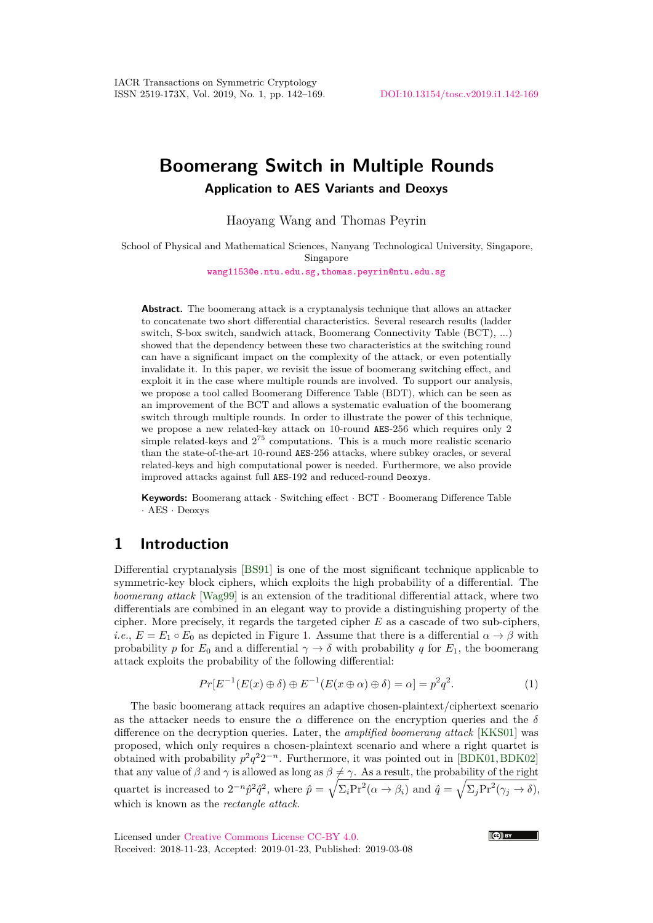# **Boomerang Switch in Multiple Rounds Application to AES Variants and Deoxys**

Haoyang Wang and Thomas Peyrin

School of Physical and Mathematical Sciences, Nanyang Technological University, Singapore, Singapore

[wang1153@e.ntu.edu.sg,thomas.peyrin@ntu.edu.sg](mailto: wang1153@e.ntu.edu.sg, thomas.peyrin@ntu.edu.sg)

**Abstract.** The boomerang attack is a cryptanalysis technique that allows an attacker to concatenate two short differential characteristics. Several research results (ladder switch, S-box switch, sandwich attack, Boomerang Connectivity Table (BCT), ...) showed that the dependency between these two characteristics at the switching round can have a significant impact on the complexity of the attack, or even potentially invalidate it. In this paper, we revisit the issue of boomerang switching effect, and exploit it in the case where multiple rounds are involved. To support our analysis, we propose a tool called Boomerang Difference Table (BDT), which can be seen as an improvement of the BCT and allows a systematic evaluation of the boomerang switch through multiple rounds. In order to illustrate the power of this technique, we propose a new related-key attack on 10-round AES-256 which requires only 2 simple related-keys and  $2^{75}$  computations. This is a much more realistic scenario than the state-of-the-art 10-round AES-256 attacks, where subkey oracles, or several related-keys and high computational power is needed. Furthermore, we also provide improved attacks against full AES-192 and reduced-round Deoxys.

**Keywords:** Boomerang attack · Switching effect · BCT · Boomerang Difference Table · AES · Deoxys

# **1 Introduction**

Differential cryptanalysis [\[BS91\]](#page-19-0) is one of the most significant technique applicable to symmetric-key block ciphers, which exploits the high probability of a differential. The *boomerang attack* [\[Wag99\]](#page-20-0) is an extension of the traditional differential attack, where two differentials are combined in an elegant way to provide a distinguishing property of the cipher. More precisely, it regards the targeted cipher *E* as a cascade of two sub-ciphers, *i.e.*,  $E = E_1 \circ E_0$  as depicted in Figure [1.](#page-1-0) Assume that there is a differential  $\alpha \to \beta$  with probability *p* for  $E_0$  and a differential  $\gamma \to \delta$  with probability *q* for  $E_1$ , the boomerang attack exploits the probability of the following differential:

$$
Pr[E^{-1}(E(x) \oplus \delta) \oplus E^{-1}(E(x \oplus \alpha) \oplus \delta) = \alpha] = p^2 q^2.
$$
 (1)

The basic boomerang attack requires an adaptive chosen-plaintext/ciphertext scenario as the attacker needs to ensure the  $\alpha$  difference on the encryption queries and the  $\delta$ difference on the decryption queries. Later, the *amplified boomerang attack* [\[KKS01\]](#page-20-1) was proposed, which only requires a chosen-plaintext scenario and where a right quartet is obtained with probability  $p^2q^22^{-n}$ . Furthermore, it was pointed out in [\[BDK01,](#page-18-0) [BDK02\]](#page-18-1) that any value of *β* and  $\gamma$  is allowed as long as  $\beta \neq \gamma$ . As a result, the probability of the right quartet is increased to  $2^{-n} \hat{p}^2 \hat{q}^2$ , where  $\hat{p} = \sqrt{\Sigma_i \text{Pr}^2(\alpha \to \beta_i)}$  and  $\hat{q} = \sqrt{\Sigma_j \text{Pr}^2(\gamma_j \to \delta)}$ , which is known as the *rectangle attack*.

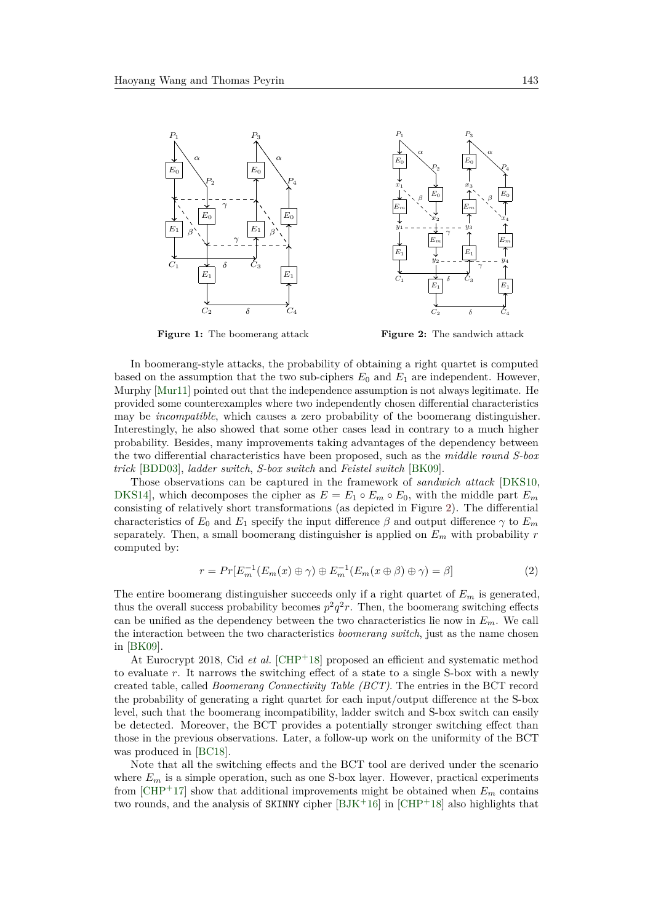<span id="page-1-0"></span>

**Figure 1:** The boomerang attack



<span id="page-1-2"></span>δ

 $C_2$   $\delta$   $C_4$ 

 $E_1$ 

 $y_2$  - - - - - - - -  $y_4$ 

 $E_m$   $E_m$  $x_2$   $x_4$ 

γ

 $E<sub>1</sub>$ 

δ

γ

 $\alpha$   $\Box$   $\Diamond$ 

 $P_2$   $\rightarrow$   $\rightarrow$   $P_4$ 

 $E_0$   $\uparrow$   $\downarrow$   $E_0$ 

<span id="page-1-1"></span> $P_1$   $P_3$ 

 $E_0$   $E_0$ 

E<sup>m</sup> E<sup>m</sup>  $x_1$   $x_3$ 

 $y_1$  - - - - - + - - - -  $y_3$ 

 $C_1$   $C_3$ 

 $E<sub>1</sub>$ 

 $E_1$ 

 $\beta$   $\Box$   $\Box$   $\rightarrow$   $\beta$ 

In boomerang-style attacks, the probability of obtaining a right quartet is computed based on the assumption that the two sub-ciphers  $E_0$  and  $E_1$  are independent. However, Murphy [\[Mur11\]](#page-20-2) pointed out that the independence assumption is not always legitimate. He provided some counterexamples where two independently chosen differential characteristics may be *incompatible*, which causes a zero probability of the boomerang distinguisher. Interestingly, he also showed that some other cases lead in contrary to a much higher probability. Besides, many improvements taking advantages of the dependency between the two differential characteristics have been proposed, such as the *middle round S-box trick* [\[BDD03\]](#page-18-2), *ladder switch*, *S-box switch* and *Feistel switch* [\[BK09\]](#page-19-1).

Those observations can be captured in the framework of *sandwich attack* [\[DKS10,](#page-19-2) [DKS14\]](#page-19-3), which decomposes the cipher as  $E = E_1 \circ E_m \circ E_0$ , with the middle part  $E_m$ consisting of relatively short transformations (as depicted in Figure [2\)](#page-1-1). The differential characteristics of  $E_0$  and  $E_1$  specify the input difference  $\beta$  and output difference  $\gamma$  to  $E_m$ separately. Then, a small boomerang distinguisher is applied on *E<sup>m</sup>* with probability *r* computed by:

$$
r = Pr[E_m^{-1}(E_m(x) \oplus \gamma) \oplus E_m^{-1}(E_m(x \oplus \beta) \oplus \gamma) = \beta]
$$
\n(2)

The entire boomerang distinguisher succeeds only if a right quartet of *E<sup>m</sup>* is generated, thus the overall success probability becomes  $p^2q^2r$ . Then, the boomerang switching effects can be unified as the dependency between the two characteristics lie now in *Em*. We call the interaction between the two characteristics *boomerang switch*, just as the name chosen in [\[BK09\]](#page-19-1).

At Eurocrypt 2018, Cid *et al.* [\[CHP](#page-19-4)<sup>+</sup>18] proposed an efficient and systematic method to evaluate *r*. It narrows the switching effect of a state to a single S-box with a newly created table, called *Boomerang Connectivity Table (BCT)*. The entries in the BCT record the probability of generating a right quartet for each input/output difference at the S-box level, such that the boomerang incompatibility, ladder switch and S-box switch can easily be detected. Moreover, the BCT provides a potentially stronger switching effect than those in the previous observations. Later, a follow-up work on the uniformity of the BCT was produced in [\[BC18\]](#page-18-3).

Note that all the switching effects and the BCT tool are derived under the scenario where  $E_m$  is a simple operation, such as one S-box layer. However, practical experiments from  $[CHP+17]$  $[CHP+17]$  show that additional improvements might be obtained when  $E_m$  contains two rounds, and the analysis of  $SKINNY$  cipher  $[BIK+16]$  in  $[CHP+18]$  $[CHP+18]$  also highlights that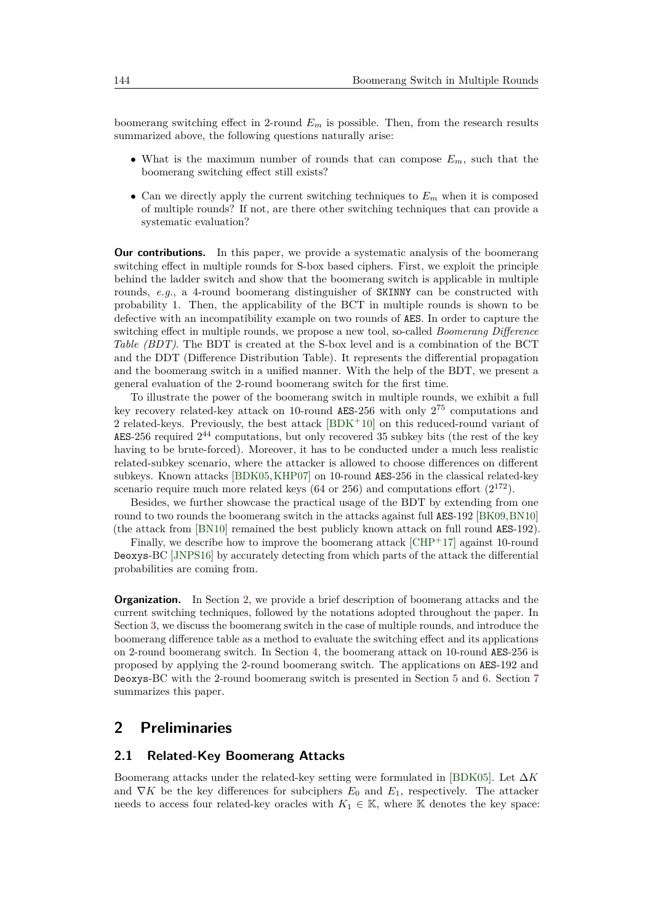boomerang switching effect in 2-round  $E_m$  is possible. Then, from the research results summarized above, the following questions naturally arise:

- What is the maximum number of rounds that can compose *Em*, such that the boomerang switching effect still exists?
- Can we directly apply the current switching techniques to  $E_m$  when it is composed of multiple rounds? If not, are there other switching techniques that can provide a systematic evaluation?

**Our contributions.** In this paper, we provide a systematic analysis of the boomerang switching effect in multiple rounds for S-box based ciphers. First, we exploit the principle behind the ladder switch and show that the boomerang switch is applicable in multiple rounds, *e.g.*, a 4-round boomerang distinguisher of SKINNY can be constructed with probability 1. Then, the applicability of the BCT in multiple rounds is shown to be defective with an incompatibility example on two rounds of AES. In order to capture the switching effect in multiple rounds, we propose a new tool, so-called *Boomerang Difference Table (BDT)*. The BDT is created at the S-box level and is a combination of the BCT and the DDT (Difference Distribution Table). It represents the differential propagation and the boomerang switch in a unified manner. With the help of the BDT, we present a general evaluation of the 2-round boomerang switch for the first time.

To illustrate the power of the boomerang switch in multiple rounds, we exhibit a full key recovery related-key attack on 10-round AES-256 with only 2 <sup>75</sup> computations and 2 related-keys. Previously, the best attack  $[BDK+10]$  $[BDK+10]$  on this reduced-round variant of AES-256 required  $2^{44}$  computations, but only recovered 35 subkey bits (the rest of the key having to be brute-forced). Moreover, it has to be conducted under a much less realistic related-subkey scenario, where the attacker is allowed to choose differences on different subkeys. Known attacks [\[BDK05,](#page-18-6)[KHP07\]](#page-20-3) on 10-round AES-256 in the classical related-key scenario require much more related keys  $(64 \text{ or } 256)$  and computations effort  $(2^{172})$ .

Besides, we further showcase the practical usage of the BDT by extending from one round to two rounds the boomerang switch in the attacks against full AES-192 [\[BK09,](#page-19-1)[BN10\]](#page-19-6) (the attack from [\[BN10\]](#page-19-6) remained the best publicly known attack on full round AES-192).

Finally, we describe how to improve the boomerang attack  $\text{[CHP+17]}$  $\text{[CHP+17]}$  $\text{[CHP+17]}$  against 10-round Deoxys-BC [\[JNPS16\]](#page-20-4) by accurately detecting from which parts of the attack the differential probabilities are coming from.

**Organization.** In Section [2,](#page-2-0) we provide a brief description of boomerang attacks and the current switching techniques, followed by the notations adopted throughout the paper. In Section [3,](#page-4-0) we discuss the boomerang switch in the case of multiple rounds, and introduce the boomerang difference table as a method to evaluate the switching effect and its applications on 2-round boomerang switch. In Section [4,](#page-10-0) the boomerang attack on 10-round AES-256 is proposed by applying the 2-round boomerang switch. The applications on AES-192 and Deoxys-BC with the 2-round boomerang switch is presented in Section [5](#page-13-0) and [6.](#page-16-0) Section [7](#page-18-7) summarizes this paper.

### <span id="page-2-0"></span>**2 Preliminaries**

#### <span id="page-2-1"></span>**2.1 Related-Key Boomerang Attacks**

Boomerang attacks under the related-key setting were formulated in [\[BDK05\]](#page-18-6). Let ∆*K* and  $\nabla K$  be the key differences for subciphers  $E_0$  and  $E_1$ , respectively. The attacker needs to access four related-key oracles with  $K_1 \in \mathbb{K}$ , where K denotes the key space: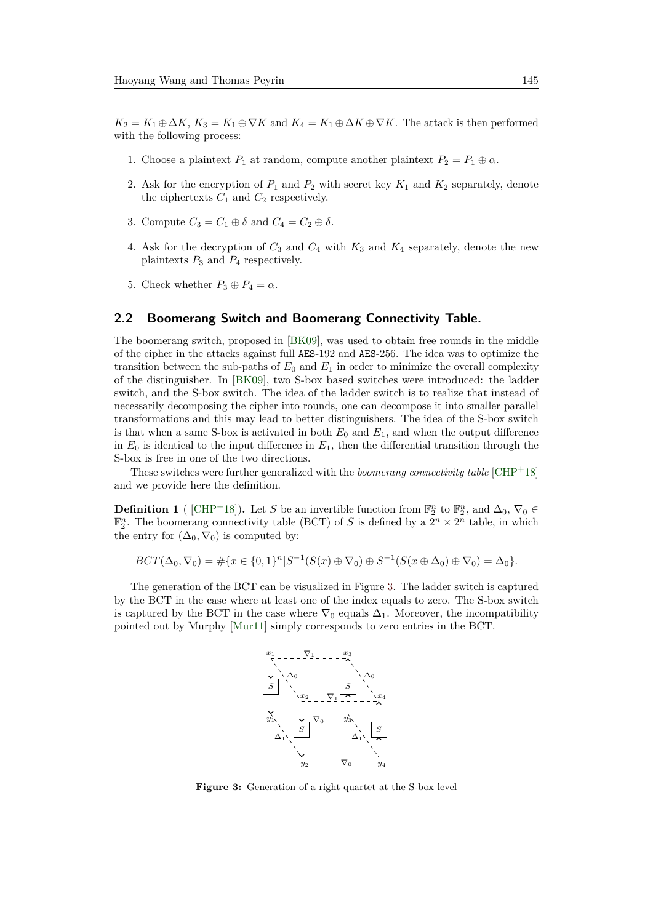$K_2 = K_1 \oplus \Delta K$ ,  $K_3 = K_1 \oplus \nabla K$  and  $K_4 = K_1 \oplus \Delta K \oplus \nabla K$ . The attack is then performed with the following process:

- 1. Choose a plaintext  $P_1$  at random, compute another plaintext  $P_2 = P_1 \oplus \alpha$ .
- 2. Ask for the encryption of  $P_1$  and  $P_2$  with secret key  $K_1$  and  $K_2$  separately, denote the ciphertexts  $C_1$  and  $C_2$  respectively.
- 3. Compute  $C_3 = C_1 \oplus \delta$  and  $C_4 = C_2 \oplus \delta$ .
- 4. Ask for the decryption of  $C_3$  and  $C_4$  with  $K_3$  and  $K_4$  separately, denote the new plaintexts *P*<sup>3</sup> and *P*<sup>4</sup> respectively.
- 5. Check whether  $P_3 \oplus P_4 = \alpha$ .

#### **2.2 Boomerang Switch and Boomerang Connectivity Table.**

The boomerang switch, proposed in [\[BK09\]](#page-19-1), was used to obtain free rounds in the middle of the cipher in the attacks against full AES-192 and AES-256. The idea was to optimize the transition between the sub-paths of  $E_0$  and  $E_1$  in order to minimize the overall complexity of the distinguisher. In [\[BK09\]](#page-19-1), two S-box based switches were introduced: the ladder switch, and the S-box switch. The idea of the ladder switch is to realize that instead of necessarily decomposing the cipher into rounds, one can decompose it into smaller parallel transformations and this may lead to better distinguishers. The idea of the S-box switch is that when a same S-box is activated in both  $E_0$  and  $E_1$ , and when the output difference in  $E_0$  is identical to the input difference in  $E_1$ , then the differential transition through the S-box is free in one of the two directions.

These switches were further generalized with the *boomerang connectivity table* [\[CHP](#page-19-4)+18] and we provide here the definition.

**Definition 1** ([\[CHP](#page-19-4)<sup>+</sup>18]). Let *S* be an invertible function from  $\mathbb{F}_2^n$  to  $\mathbb{F}_2^n$ , and  $\Delta_0$ ,  $\nabla_0 \in$  $\mathbb{F}_2^n$ . The boomerang connectivity table (BCT) of *S* is defined by a  $2^n \times 2^n$  table, in which the entry for  $(\Delta_0, \nabla_0)$  is computed by:

 $BCT(\Delta_0, \nabla_0) = \#\{x \in \{0, 1\}^n | S^{-1}(S(x) \oplus \nabla_0) \oplus S^{-1}(S(x \oplus \Delta_0) \oplus \nabla_0) = \Delta_0\}.$ 

<span id="page-3-0"></span>The generation of the BCT can be visualized in Figure [3.](#page-3-0) The ladder switch is captured by the BCT in the case where at least one of the index equals to zero. The S-box switch is captured by the BCT in the case where  $\nabla_0$  equals  $\Delta_1$ . Moreover, the incompatibility pointed out by Murphy [\[Mur11\]](#page-20-2) simply corresponds to zero entries in the BCT.



**Figure 3:** Generation of a right quartet at the S-box level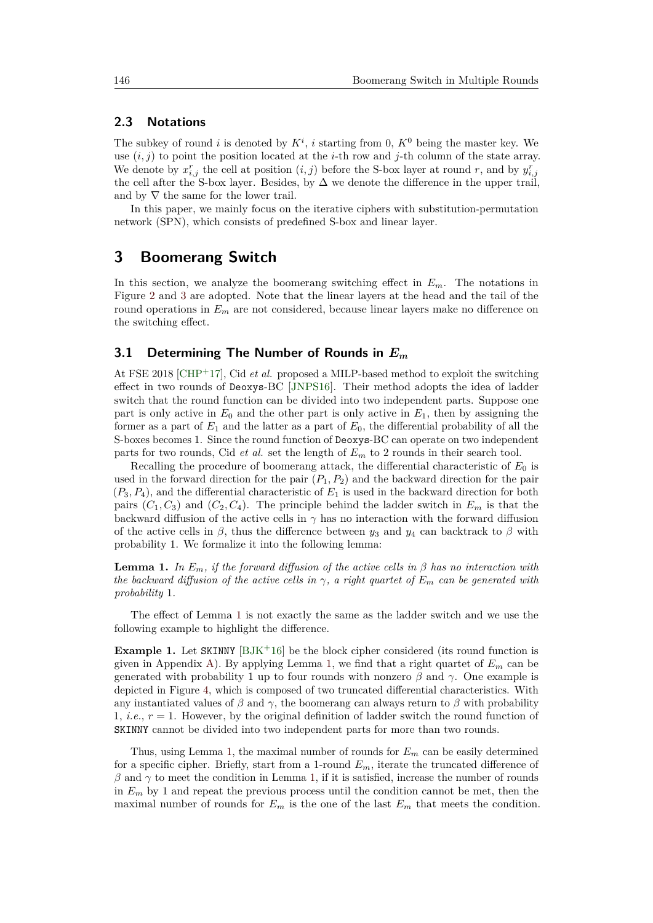#### **2.3 Notations**

The subkey of round *i* is denoted by  $K^i$ , *i* starting from 0,  $K^0$  being the master key. We use  $(i, j)$  to point the position located at the *i*-th row and *j*-th column of the state array. We denote by  $x_{i,j}^r$  the cell at position  $(i, j)$  before the S-box layer at round r, and by  $y_{i,j}^r$ the cell after the S-box layer. Besides, by  $\Delta$  we denote the difference in the upper trail, and by  $\nabla$  the same for the lower trail.

In this paper, we mainly focus on the iterative ciphers with substitution-permutation network (SPN), which consists of predefined S-box and linear layer.

### <span id="page-4-0"></span>**3 Boomerang Switch**

In this section, we analyze the boomerang switching effect in *Em*. The notations in Figure [2](#page-1-1) and [3](#page-3-0) are adopted. Note that the linear layers at the head and the tail of the round operations in *E<sup>m</sup>* are not considered, because linear layers make no difference on the switching effect.

#### **3.1 Determining The Number of Rounds in** *E<sup>m</sup>*

At FSE 2018 [\[CHP](#page-19-5)<sup>+</sup>17], Cid *et al.* proposed a MILP-based method to exploit the switching effect in two rounds of Deoxys-BC [\[JNPS16\]](#page-20-4). Their method adopts the idea of ladder switch that the round function can be divided into two independent parts. Suppose one part is only active in  $E_0$  and the other part is only active in  $E_1$ , then by assigning the former as a part of  $E_1$  and the latter as a part of  $E_0$ , the differential probability of all the S-boxes becomes 1. Since the round function of Deoxys-BC can operate on two independent parts for two rounds, Cid *et al.* set the length of *E<sup>m</sup>* to 2 rounds in their search tool.

Recalling the procedure of boomerang attack, the differential characteristic of *E*<sup>0</sup> is used in the forward direction for the pair  $(P_1, P_2)$  and the backward direction for the pair  $(P_3, P_4)$ , and the differential characteristic of  $E_1$  is used in the backward direction for both pairs  $(C_1, C_3)$  and  $(C_2, C_4)$ . The principle behind the ladder switch in  $E_m$  is that the backward diffusion of the active cells in  $\gamma$  has no interaction with the forward diffusion of the active cells in  $\beta$ , thus the difference between  $y_3$  and  $y_4$  can backtrack to  $\beta$  with probability 1. We formalize it into the following lemma:

<span id="page-4-1"></span>**Lemma 1.** *In*  $E_m$ , *if the forward diffusion of the active cells in*  $\beta$  *has no interaction with the backward diffusion of the active cells in*  $\gamma$ , a right quartet of  $E_m$  can be generated with *probability* 1*.*

The effect of Lemma [1](#page-4-1) is not exactly the same as the ladder switch and we use the following example to highlight the difference.

**Example 1.** Let SKINNY [\[BJK](#page-18-4)<sup>+</sup>16] be the block cipher considered (its round function is given in Appendix [A\)](#page-20-5). By applying Lemma [1,](#page-4-1) we find that a right quartet of  $E_m$  can be generated with probability 1 up to four rounds with nonzero *β* and *γ*. One example is depicted in Figure [4,](#page-5-0) which is composed of two truncated differential characteristics. With any instantiated values of *β* and  $\gamma$ , the boomerang can always return to *β* with probability 1, *i.e.*, *r* = 1. However, by the original definition of ladder switch the round function of SKINNY cannot be divided into two independent parts for more than two rounds.

Thus, using Lemma [1,](#page-4-1) the maximal number of rounds for  $E_m$  can be easily determined for a specific cipher. Briefly, start from a 1-round *Em*, iterate the truncated difference of  $β$  and  $γ$  to meet the condition in Lemma [1,](#page-4-1) if it is satisfied, increase the number of rounds in *E<sup>m</sup>* by 1 and repeat the previous process until the condition cannot be met, then the maximal number of rounds for  $E_m$  is the one of the last  $E_m$  that meets the condition.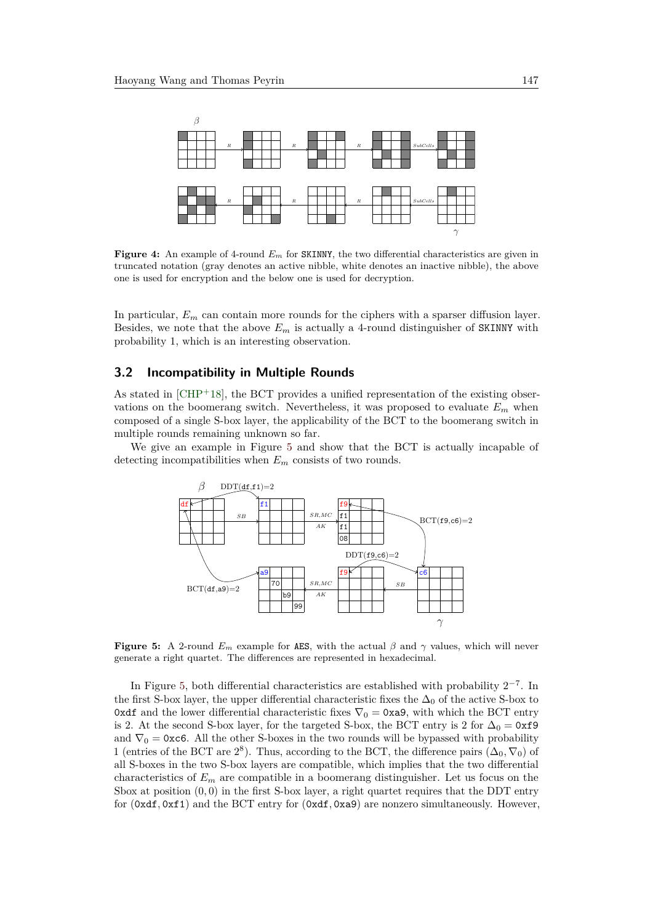<span id="page-5-0"></span>

**Figure 4:** An example of 4-round  $E_m$  for SKINNY, the two differential characteristics are given in truncated notation (gray denotes an active nibble, white denotes an inactive nibble), the above one is used for encryption and the below one is used for decryption.

In particular,  $E_m$  can contain more rounds for the ciphers with a sparser diffusion layer. Besides, we note that the above  $E_m$  is actually a 4-round distinguisher of SKINNY with probability 1, which is an interesting observation.

#### <span id="page-5-2"></span>**3.2 Incompatibility in Multiple Rounds**

As stated in [\[CHP](#page-19-4)<sup>+</sup>18], the BCT provides a unified representation of the existing observations on the boomerang switch. Nevertheless, it was proposed to evaluate  $E_m$  when composed of a single S-box layer, the applicability of the BCT to the boomerang switch in multiple rounds remaining unknown so far.

<span id="page-5-1"></span>We give an example in Figure [5](#page-5-1) and show that the BCT is actually incapable of detecting incompatibilities when *E<sup>m</sup>* consists of two rounds.



**Figure 5:** A 2-round  $E_m$  example for AES, with the actual  $\beta$  and  $\gamma$  values, which will never generate a right quartet. The differences are represented in hexadecimal.

In Figure [5,](#page-5-1) both differential characteristics are established with probability  $2^{-7}$ . In the first S-box layer, the upper differential characteristic fixes the  $\Delta_0$  of the active S-box to 0xdf and the lower differential characteristic fixes  $\nabla_0 = 0$ xa9, with which the BCT entry is 2. At the second S-box layer, for the targeted S-box, the BCT entry is 2 for  $\Delta_0 = 0 \times 19$ and  $\nabla_0 = 0$  xc6. All the other S-boxes in the two rounds will be bypassed with probability 1 (entries of the BCT are  $2^8$ ). Thus, according to the BCT, the difference pairs  $(\Delta_0, \nabla_0)$  of all S-boxes in the two S-box layers are compatible, which implies that the two differential characteristics of *E<sup>m</sup>* are compatible in a boomerang distinguisher. Let us focus on the Sbox at position  $(0,0)$  in the first S-box layer, a right quartet requires that the DDT entry for (0xdf*,* 0xf1) and the BCT entry for (0xdf*,* 0xa9) are nonzero simultaneously. However,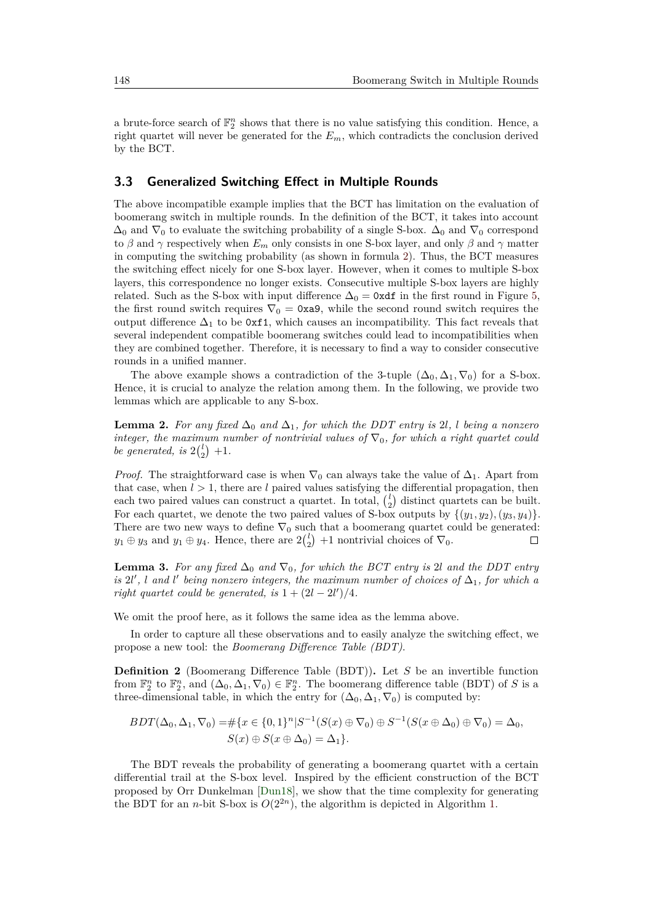a brute-force search of  $\mathbb{F}_2^n$  shows that there is no value satisfying this condition. Hence, a right quartet will never be generated for the *Em*, which contradicts the conclusion derived by the BCT.

#### **3.3 Generalized Switching Effect in Multiple Rounds**

The above incompatible example implies that the BCT has limitation on the evaluation of boomerang switch in multiple rounds. In the definition of the BCT, it takes into account  $\Delta_0$  and  $\nabla_0$  to evaluate the switching probability of a single S-box.  $\Delta_0$  and  $\nabla_0$  correspond to  $\beta$  and  $\gamma$  respectively when  $E_m$  only consists in one S-box layer, and only  $\beta$  and  $\gamma$  matter in computing the switching probability (as shown in formula [2\)](#page-1-2). Thus, the BCT measures the switching effect nicely for one S-box layer. However, when it comes to multiple S-box layers, this correspondence no longer exists. Consecutive multiple S-box layers are highly related. Such as the S-box with input difference  $\Delta_0 = 0$ xdf in the first round in Figure [5,](#page-5-1) the first round switch requires  $\nabla_0 = 0$ xa9, while the second round switch requires the output difference  $\Delta_1$  to be 0xf1, which causes an incompatibility. This fact reveals that several independent compatible boomerang switches could lead to incompatibilities when they are combined together. Therefore, it is necessary to find a way to consider consecutive rounds in a unified manner.

The above example shows a contradiction of the 3-tuple  $(\Delta_0, \Delta_1, \nabla_0)$  for a S-box. Hence, it is crucial to analyze the relation among them. In the following, we provide two lemmas which are applicable to any S-box.

<span id="page-6-0"></span>**Lemma 2.** For any fixed  $\Delta_0$  and  $\Delta_1$ , for which the DDT entry is 2*l*, *l* being a nonzero *integer, the maximum number of nontrivial values of*  $\nabla_0$ *, for which a right quartet could be generated, is*  $2\binom{l}{2} + 1$ *.* 

*Proof.* The straightforward case is when  $\nabla_0$  can always take the value of  $\Delta_1$ . Apart from that case, when  $l > 1$ , there are *l* paired values satisfying the differential propagation, then each two paired values can construct a quartet. In total,  $\binom{l}{2}$  distinct quartets can be built. For each quartet, we denote the two paired values of S-box outputs by  $\{(y_1, y_2), (y_3, y_4)\}.$ There are two new ways to define  $\nabla_0$  such that a boomerang quartet could be generated:  $y_1 \oplus y_3$  and  $y_1 \oplus y_4$ . Hence, there are  $2\binom{l}{2}$  +1 nontrivial choices of  $\nabla_0$ .  $\Box$ 

<span id="page-6-1"></span>**Lemma 3.** For any fixed  $\Delta_0$  and  $\nabla_0$ , for which the BCT entry is 2*l* and the DDT entry *is*  $2l'$ , *l* and *l'* being nonzero integers, the maximum number of choices of  $\Delta_1$ , for which a *right quartet could be generated, is*  $1 + (2l - 2l')/4$ *.* 

We omit the proof here, as it follows the same idea as the lemma above.

In order to capture all these observations and to easily analyze the switching effect, we propose a new tool: the *Boomerang Difference Table (BDT)*.

**Definition 2** (Boomerang Difference Table (BDT))**.** Let *S* be an invertible function from  $\mathbb{F}_2^n$  to  $\mathbb{F}_2^n$ , and  $(\Delta_0, \Delta_1, \nabla_0) \in \mathbb{F}_2^n$ . The boomerang difference table (BDT) of *S* is a three-dimensional table, in which the entry for  $(\Delta_0, \Delta_1, \nabla_0)$  is computed by:

$$
BDT(\Delta_0, \Delta_1, \nabla_0) = #\{x \in \{0, 1\}^n | S^{-1}(S(x) \oplus \nabla_0) \oplus S^{-1}(S(x \oplus \Delta_0) \oplus \nabla_0) = \Delta_0, S(x) \oplus S(x \oplus \Delta_0) = \Delta_1\}.
$$

The BDT reveals the probability of generating a boomerang quartet with a certain differential trail at the S-box level. Inspired by the efficient construction of the BCT proposed by Orr Dunkelman [\[Dun18\]](#page-20-6), we show that the time complexity for generating the BDT for an *n*-bit S-box is  $O(2^{2n})$ , the algorithm is depicted in Algorithm [1.](#page-7-0)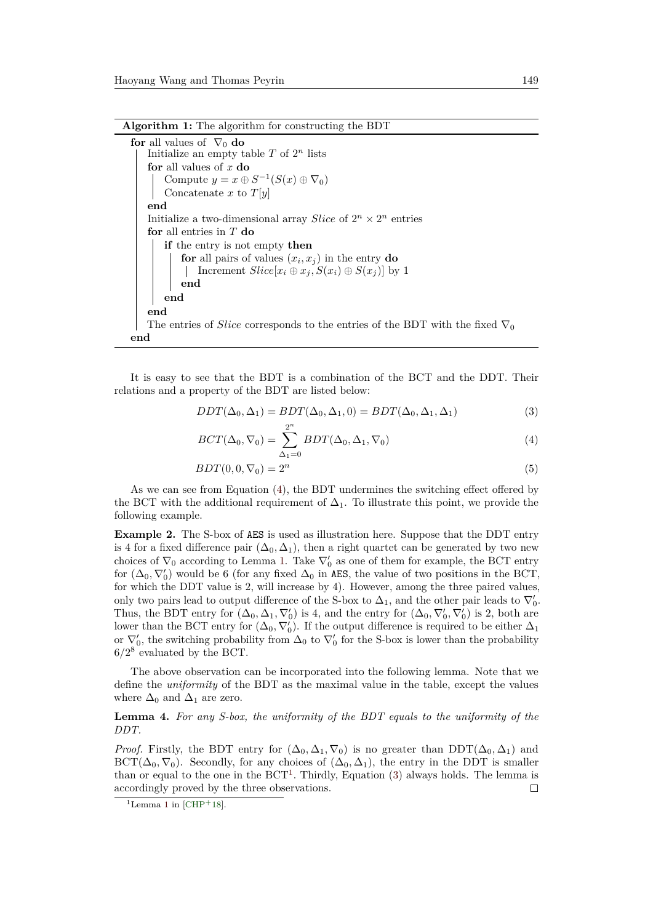```
for all values of \nabla_0 do
 Initialize an empty table T of 2^n lists
for all values of x do
     Compute y = x \oplus S^{-1}(S(x) \oplus \nabla_0)Concatenate x to T[y]
end
 Initialize a two-dimensional array Slice of 2^n \times 2^n entries
for all entries in T do
    if the entry is not empty then
        for all pairs of values (x_i, x_j) in the entry do
         | Increment Slice[x_i \oplus x_j, S(x_i) \oplus S(x_j)] by 1
        end
    end
end
The entries of Slice corresponds to the entries of the BDT with the fixed \nabla_0end
```
<span id="page-7-0"></span>It is easy to see that the BDT is a combination of the BCT and the DDT. Their relations and a property of the BDT are listed below:

$$
DDT(\Delta_0, \Delta_1) = BDT(\Delta_0, \Delta_1, 0) = BDT(\Delta_0, \Delta_1, \Delta_1)
$$
\n(3)

<span id="page-7-3"></span><span id="page-7-1"></span>
$$
BCT(\Delta_0, \nabla_0) = \sum_{\Delta_1=0}^{2^n} BDT(\Delta_0, \Delta_1, \nabla_0)
$$
\n(4)

$$
BDT(0,0,\nabla_0) = 2^n \tag{5}
$$

As we can see from Equation [\(4\)](#page-7-1), the BDT undermines the switching effect offered by the BCT with the additional requirement of  $\Delta_1$ . To illustrate this point, we provide the following example.

**Example 2.** The S-box of AES is used as illustration here. Suppose that the DDT entry is 4 for a fixed difference pair  $(\Delta_0, \Delta_1)$ , then a right quartet can be generated by two new choices of  $\nabla_0$  according to Lemma [1.](#page-4-1) Take  $\nabla'_0$  as one of them for example, the BCT entry for  $(\Delta_0, \nabla'_0)$  would be 6 (for any fixed  $\Delta_0$  in AES, the value of two positions in the BCT, for which the DDT value is 2, will increase by 4). However, among the three paired values, only two pairs lead to output difference of the S-box to  $\Delta_1$ , and the other pair leads to  $\nabla'_0$ . Thus, the BDT entry for  $(\Delta_0, \Delta_1, \nabla'_0)$  is 4, and the entry for  $(\Delta_0, \nabla'_0, \nabla'_0)$  is 2, both are lower than the BCT entry for  $(\Delta_0, \nabla'_0)$ . If the output difference is required to be either  $\Delta_1$ or  $\nabla'_0$ , the switching probability from  $\Delta_0$  to  $\nabla'_0$  for the S-box is lower than the probability  $6/2^8$  evaluated by the BCT.

The above observation can be incorporated into the following lemma. Note that we define the *uniformity* of the BDT as the maximal value in the table, except the values where  $\Delta_0$  and  $\Delta_1$  are zero.

#### **Lemma 4.** *For any S-box, the uniformity of the BDT equals to the uniformity of the DDT.*

*Proof.* Firstly, the BDT entry for  $(\Delta_0, \Delta_1, \nabla_0)$  is no greater than DDT $(\Delta_0, \Delta_1)$  and  $\text{BCT}(\Delta_0, \nabla_0)$ . Secondly, for any choices of  $(\Delta_0, \Delta_1)$ , the entry in the DDT is smaller than or equal to the one in the  $BCT<sup>1</sup>$  $BCT<sup>1</sup>$  $BCT<sup>1</sup>$ . Thirdly, Equation [\(3\)](#page-7-3) always holds. The lemma is accordingly proved by the three observations.  $\Box$ 

<span id="page-7-2"></span><sup>&</sup>lt;sup>[1](#page-4-1)</sup>Lemma 1 in  $[CHP+18]$  $[CHP+18]$ .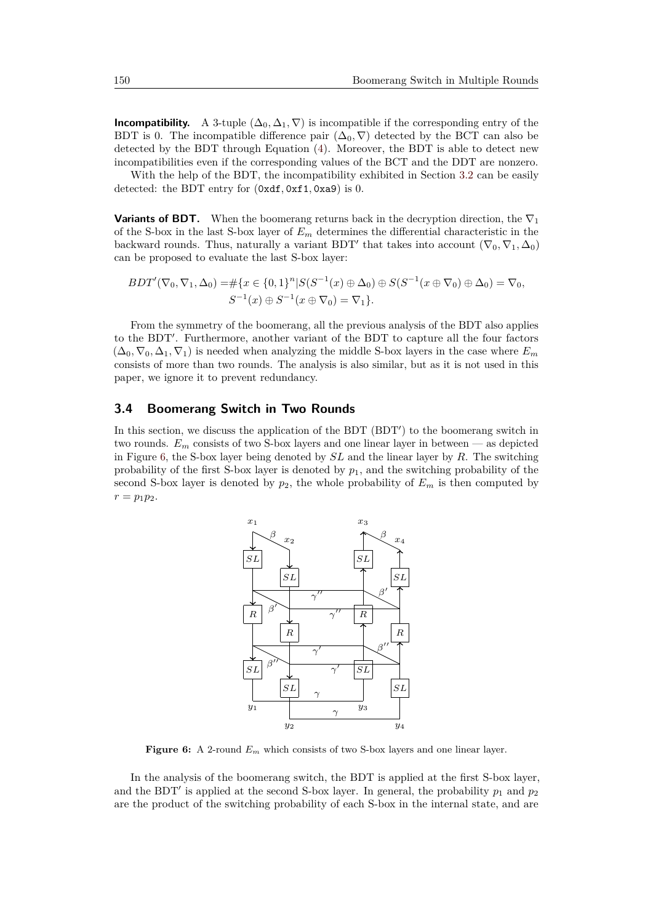**Incompatibility.** A 3-tuple  $(\Delta_0, \Delta_1, \nabla)$  is incompatible if the corresponding entry of the BDT is 0. The incompatible difference pair  $(\Delta_0, \nabla)$  detected by the BCT can also be detected by the BDT through Equation [\(4\)](#page-7-1). Moreover, the BDT is able to detect new incompatibilities even if the corresponding values of the BCT and the DDT are nonzero.

With the help of the BDT, the incompatibility exhibited in Section [3.2](#page-5-2) can be easily detected: the BDT entry for  $(0xdf, 0xf1, 0xa9)$  is 0.

**Variants of BDT.** When the boomerang returns back in the decryption direction, the  $\nabla_1$ of the S-box in the last S-box layer of *E<sup>m</sup>* determines the differential characteristic in the backward rounds. Thus, naturally a variant BDT<sup>'</sup> that takes into account  $(\nabla_0, \nabla_1, \Delta_0)$ can be proposed to evaluate the last S-box layer:

$$
BDT'(\nabla_0, \nabla_1, \Delta_0) = \# \{x \in \{0, 1\}^n | S(S^{-1}(x) \oplus \Delta_0) \oplus S(S^{-1}(x \oplus \nabla_0) \oplus \Delta_0) = \nabla_0, \\ S^{-1}(x) \oplus S^{-1}(x \oplus \nabla_0) = \nabla_1 \}.
$$

From the symmetry of the boomerang, all the previous analysis of the BDT also applies to the BDT'. Furthermore, another variant of the BDT to capture all the four factors  $(\Delta_0, \nabla_0, \Delta_1, \nabla_1)$  is needed when analyzing the middle S-box layers in the case where  $E_m$ consists of more than two rounds. The analysis is also similar, but as it is not used in this paper, we ignore it to prevent redundancy.

#### <span id="page-8-1"></span>**3.4 Boomerang Switch in Two Rounds**

<span id="page-8-0"></span>In this section, we discuss the application of the BDT (BDT') to the boomerang switch in two rounds.  $E_m$  consists of two S-box layers and one linear layer in between — as depicted in Figure [6,](#page-8-0) the S-box layer being denoted by *SL* and the linear layer by *R*. The switching probability of the first S-box layer is denoted by  $p_1$ , and the switching probability of the second S-box layer is denoted by  $p_2$ , the whole probability of  $E_m$  is then computed by  $r = p_1 p_2$ .



**Figure 6:** A 2-round *E<sup>m</sup>* which consists of two S-box layers and one linear layer.

In the analysis of the boomerang switch, the BDT is applied at the first S-box layer, and the BDT<sup>'</sup> is applied at the second S-box layer. In general, the probability  $p_1$  and  $p_2$ are the product of the switching probability of each S-box in the internal state, and are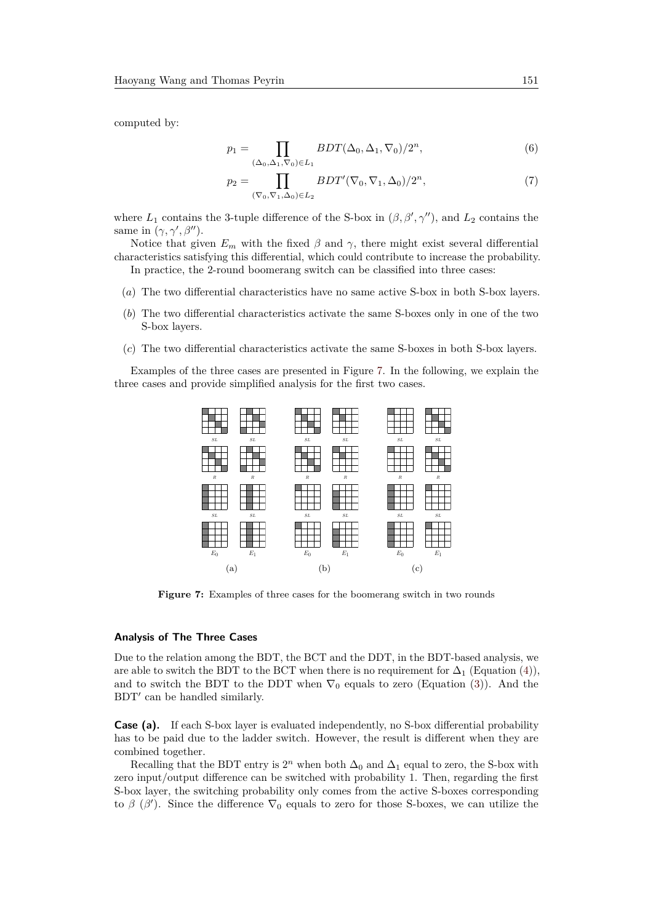computed by:

<span id="page-9-1"></span>
$$
p_1 = \prod_{\substack{(\Delta_0, \Delta_1, \nabla_0) \in L_1}} BDT(\Delta_0, \Delta_1, \nabla_0)/2^n,
$$
\n<sup>(6)</sup>

$$
p_2 = \prod_{(\nabla_0, \nabla_1, \Delta_0) \in L_2} BDT'(\nabla_0, \nabla_1, \Delta_0)/2^n,
$$
\n<sup>(7)</sup>

where  $L_1$  contains the 3-tuple difference of the S-box in  $(\beta, \beta', \gamma'')$ , and  $L_2$  contains the same in  $(\gamma, \gamma', \beta'')$ .

Notice that given  $E_m$  with the fixed  $\beta$  and  $\gamma$ , there might exist several differential characteristics satisfying this differential, which could contribute to increase the probability.

In practice, the 2-round boomerang switch can be classified into three cases:

- (*a*) The two differential characteristics have no same active S-box in both S-box layers.
- (*b*) The two differential characteristics activate the same S-boxes only in one of the two S-box layers.
- (*c*) The two differential characteristics activate the same S-boxes in both S-box layers.

<span id="page-9-0"></span>Examples of the three cases are presented in Figure [7.](#page-9-0) In the following, we explain the three cases and provide simplified analysis for the first two cases.



**Figure 7:** Examples of three cases for the boomerang switch in two rounds

#### **Analysis of The Three Cases**

Due to the relation among the BDT, the BCT and the DDT, in the BDT-based analysis, we are able to switch the BDT to the BCT when there is no requirement for  $\Delta_1$  (Equation [\(4\)](#page-7-1)), and to switch the BDT to the DDT when  $\nabla_0$  equals to zero (Equation [\(3\)](#page-7-3)). And the BDT' can be handled similarly.

**Case (a).** If each S-box layer is evaluated independently, no S-box differential probability has to be paid due to the ladder switch. However, the result is different when they are combined together.

Recalling that the BDT entry is  $2^n$  when both  $\Delta_0$  and  $\Delta_1$  equal to zero, the S-box with zero input/output difference can be switched with probability 1. Then, regarding the first S-box layer, the switching probability only comes from the active S-boxes corresponding to  $\beta$  ( $\beta'$ ). Since the difference  $\nabla_0$  equals to zero for those S-boxes, we can utilize the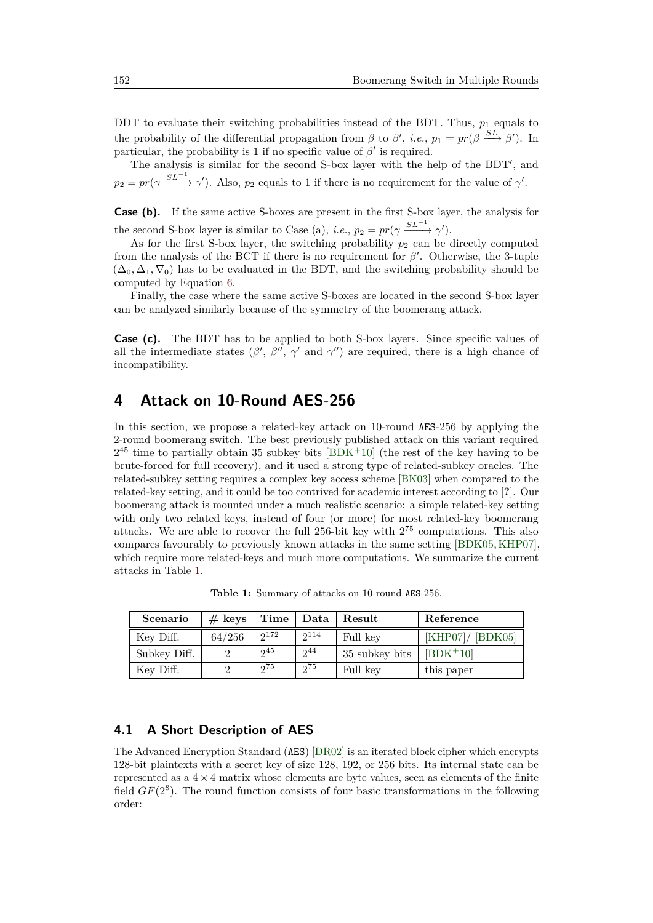DDT to evaluate their switching probabilities instead of the BDT. Thus,  $p_1$  equals to the probability of the differential propagation from  $\beta$  to  $\beta'$ , *i.e.*,  $p_1 = pr(\beta \stackrel{SL}{\longrightarrow} \beta')$ . In particular, the probability is 1 if no specific value of  $\beta'$  is required.

The analysis is similar for the second S-box layer with the help of the BDT', and  $p_2 = pr(\gamma \frac{SL^{-1}}{2})$ . Also,  $p_2$  equals to 1 if there is no requirement for the value of  $\gamma'$ .

**Case (b).** If the same active S-boxes are present in the first S-box layer, the analysis for the second S-box layer is similar to Case (a), *i.e.*,  $p_2 = pr(\gamma \frac{SL^{-1}}{2}, \gamma')$ .

As for the first S-box layer, the switching probability  $p_2$  can be directly computed from the analysis of the BCT if there is no requirement for  $\beta'$ . Otherwise, the 3-tuple  $(\Delta_0, \Delta_1, \nabla_0)$  has to be evaluated in the BDT, and the switching probability should be computed by Equation [6.](#page-9-1)

Finally, the case where the same active S-boxes are located in the second S-box layer can be analyzed similarly because of the symmetry of the boomerang attack.

**Case (c).** The BDT has to be applied to both S-box layers. Since specific values of all the intermediate states  $(\beta', \beta'', \gamma'$  and  $\gamma'')$  are required, there is a high chance of incompatibility.

### <span id="page-10-0"></span>**4 Attack on 10-Round AES-256**

In this section, we propose a related-key attack on 10-round AES-256 by applying the 2-round boomerang switch. The best previously published attack on this variant required  $2^{45}$  time to partially obtain 35 subkey bits  $[BDK^+10]$  $[BDK^+10]$  (the rest of the key having to be brute-forced for full recovery), and it used a strong type of related-subkey oracles. The related-subkey setting requires a complex key access scheme [\[BK03\]](#page-19-7) when compared to the related-key setting, and it could be too contrived for academic interest according to [**?**]. Our boomerang attack is mounted under a much realistic scenario: a simple related-key setting with only two related keys, instead of four (or more) for most related-key boomerang attacks. We are able to recover the full 256-bit key with  $2^{75}$  computations. This also compares favourably to previously known attacks in the same setting [\[BDK05,](#page-18-6)[KHP07\]](#page-20-3), which require more related-keys and much more computations. We summarize the current attacks in Table [1.](#page-10-1)

**Table 1:** Summary of attacks on 10-round AES-256.

<span id="page-10-1"></span>

| Scenario     | $# \text{ keys}$ |           |           | Time   Data   Result | Reference         |
|--------------|------------------|-----------|-----------|----------------------|-------------------|
| Key Diff.    | 64/256           | $2^{172}$ | $2^{114}$ | Full key             | [KHP07] / [BDK05] |
| Subkey Diff. |                  | $2^{45}$  | $2^{44}$  | 35 subkey bits       | $[BDK+10]$        |
| Key Diff.    |                  | 275       | 275       | Full key             | this paper        |

#### <span id="page-10-2"></span>**4.1 A Short Description of AES**

The Advanced Encryption Standard (AES) [\[DR02\]](#page-19-8) is an iterated block cipher which encrypts 128-bit plaintexts with a secret key of size 128, 192, or 256 bits. Its internal state can be represented as a  $4 \times 4$  matrix whose elements are byte values, seen as elements of the finite field  $GF(2<sup>8</sup>)$ . The round function consists of four basic transformations in the following order: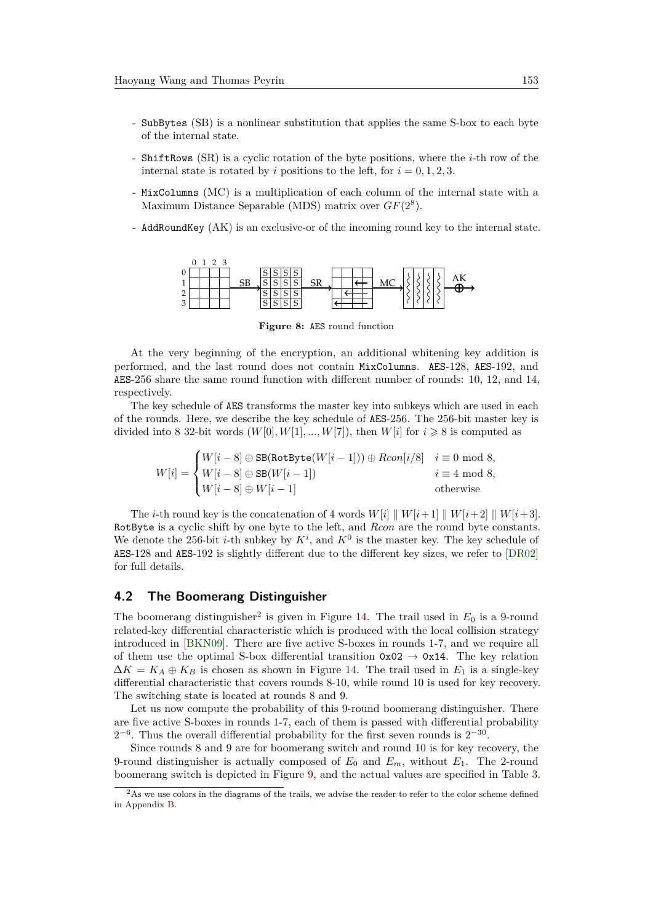- SubBytes (SB) is a nonlinear substitution that applies the same S-box to each byte of the internal state.
- ShiftRows (SR) is a cyclic rotation of the byte positions, where the *i*-th row of the internal state is rotated by *i* positions to the left, for  $i = 0, 1, 2, 3$ .
- MixColumns (MC) is a multiplication of each column of the internal state with a Maximum Distance Separable (MDS) matrix over *GF*(2<sup>8</sup> ).
- AddRoundKey (AK) is an exclusive-or of the incoming round key to the internal state.



**Figure 8:** AES round function

At the very beginning of the encryption, an additional whitening key addition is performed, and the last round does not contain MixColumns. AES-128, AES-192, and AES-256 share the same round function with different number of rounds: 10, 12, and 14, respectively.

The key schedule of AES transforms the master key into subkeys which are used in each of the rounds. Here, we describe the key schedule of AES-256. The 256-bit master key is divided into 8 32-bit words  $(W[0], W[1], ..., W[7])$ , then  $W[i]$  for  $i \geq 8$  is computed as

$$
W[i] = \begin{cases} W[i-8] \oplus \text{SB}(\text{RotByte}(W[i-1])) \oplus Rcon[i/8] & i \equiv 0 \text{ mod } 8, \\ W[i-8] \oplus \text{SB}(W[i-1]) & i \equiv 4 \text{ mod } 8, \\ W[i-8] \oplus W[i-1] & \text{otherwise} \end{cases}
$$

The *i*-th round key is the concatenation of 4 words  $W[i] \parallel W[i+1] \parallel W[i+2] \parallel W[i+3]$ . RotByte is a cyclic shift by one byte to the left, and *Rcon* are the round byte constants. We denote the 256-bit *i*-th subkey by  $K^i$ , and  $K^0$  is the master key. The key schedule of AES-128 and AES-192 is slightly different due to the different key sizes, we refer to [\[DR02\]](#page-19-8) for full details.

#### **4.2 The Boomerang Distinguisher**

The boomerang distinguisher<sup>[2](#page-11-0)</sup> is given in Figure [14.](#page-26-0) The trail used in  $E_0$  is a 9-round related-key differential characteristic which is produced with the local collision strategy introduced in [\[BKN09\]](#page-19-9). There are five active S-boxes in rounds 1-7, and we require all of them use the optimal S-box differential transition  $0x02 \rightarrow 0x14$ . The key relation  $\Delta K = K_A \oplus K_B$  is chosen as shown in Figure [14.](#page-26-0) The trail used in  $E_1$  is a single-key differential characteristic that covers rounds 8-10, while round 10 is used for key recovery. The switching state is located at rounds 8 and 9.

Let us now compute the probability of this 9-round boomerang distinguisher. There are five active S-boxes in rounds 1-7, each of them is passed with differential probability  $2^{-6}$ . Thus the overall differential probability for the first seven rounds is  $2^{-30}$ .

Since rounds 8 and 9 are for boomerang switch and round 10 is for key recovery, the 9-round distinguisher is actually composed of  $E_0$  and  $E_m$ , without  $E_1$ . The 2-round boomerang switch is depicted in Figure [9,](#page-12-0) and the actual values are specified in Table [3.](#page-21-0)

<span id="page-11-0"></span><sup>&</sup>lt;sup>2</sup>As we use colors in the diagrams of the trails, we advise the reader to refer to the color scheme defined in Appendix [B.](#page-21-1)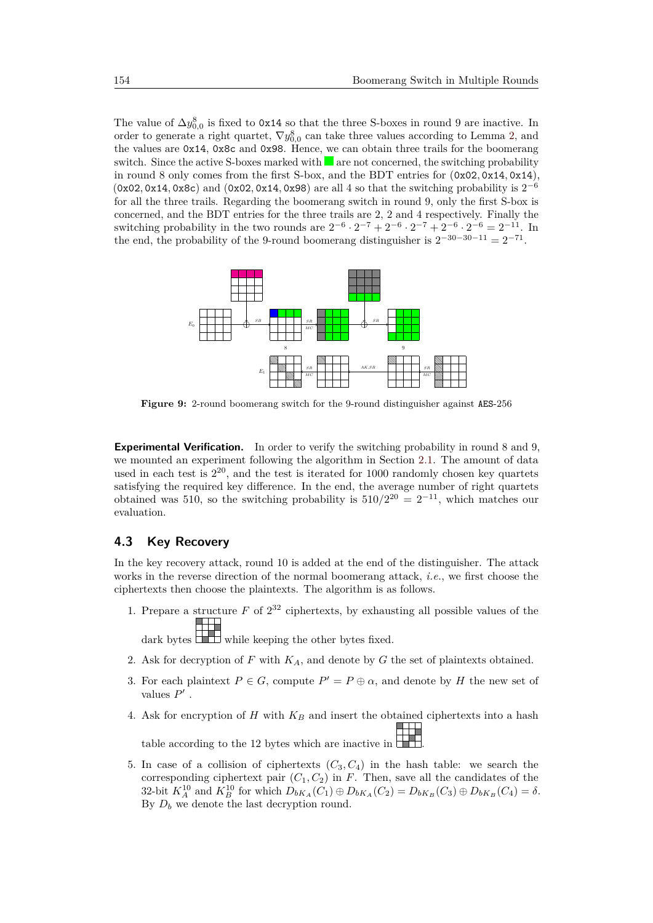The value of  $\Delta y_{0,0}^8$  is fixed to 0x14 so that the three S-boxes in round 9 are inactive. In order to generate a right quartet,  $\nabla y_{0,0}^8$  can take three values according to Lemma [2,](#page-6-0) and the values are 0x14, 0x8c and 0x98. Hence, we can obtain three trails for the boomerang switch. Since the active S-boxes marked with  $\blacksquare$  are not concerned, the switching probability in round 8 only comes from the first S-box, and the BDT entries for (0x02*,* 0x14*,* 0x14), (0x02*,* 0x14*,* 0x8c) and (0x02*,* 0x14*,* 0x98) are all 4 so that the switching probability is 2 −6 for all the three trails. Regarding the boomerang switch in round 9, only the first S-box is concerned, and the BDT entries for the three trails are 2, 2 and 4 respectively. Finally the switching probability in the two rounds are  $2^{-6} \cdot 2^{-7} + 2^{-6} \cdot 2^{-7} + 2^{-6} \cdot 2^{-6} = 2^{-11}$ . In the end, the probability of the 9-round boomerang distinguisher is  $2^{-30-30-11} = 2^{-71}$ .

<span id="page-12-0"></span>

**Figure 9:** 2-round boomerang switch for the 9-round distinguisher against AES-256

**Experimental Verification.** In order to verify the switching probability in round 8 and 9, we mounted an experiment following the algorithm in Section [2.1.](#page-2-1) The amount of data used in each test is  $2^{20}$ , and the test is iterated for 1000 randomly chosen key quartets satisfying the required key difference. In the end, the average number of right quartets obtained was 510, so the switching probability is  $510/2^{20} = 2^{-11}$ , which matches our evaluation.

#### **4.3 Key Recovery**

In the key recovery attack, round 10 is added at the end of the distinguisher. The attack works in the reverse direction of the normal boomerang attack, *i.e.*, we first choose the ciphertexts then choose the plaintexts. The algorithm is as follows.

1. Prepare a structure  $F$  of  $2^{32}$  ciphertexts, by exhausting all possible values of the

dark bytes while keeping the other bytes fixed.

- 2. Ask for decryption of *F* with *KA*, and denote by *G* the set of plaintexts obtained.
- 3. For each plaintext  $P \in G$ , compute  $P' = P \oplus \alpha$ , and denote by *H* the new set of values  $P'$ .
- 4. Ask for encryption of *H* with *K<sup>B</sup>* and insert the obtained ciphertexts into a hash table according to the 12 bytes which are inactive in  $\overline{\phantom{a}}$ .
- 5. In case of a collision of ciphertexts  $(C_3, C_4)$  in the hash table: we search the corresponding ciphertext pair  $(C_1, C_2)$  in *F*. Then, save all the candidates of the 32-bit  $K_A^{10}$  and  $K_B^{10}$  for which  $D_{bK_A}(C_1) \oplus D_{bK_A}(C_2) = D_{bK_B}(C_3) \oplus D_{bK_B}(C_4) = \delta$ . By  $D_b$  we denote the last decryption round.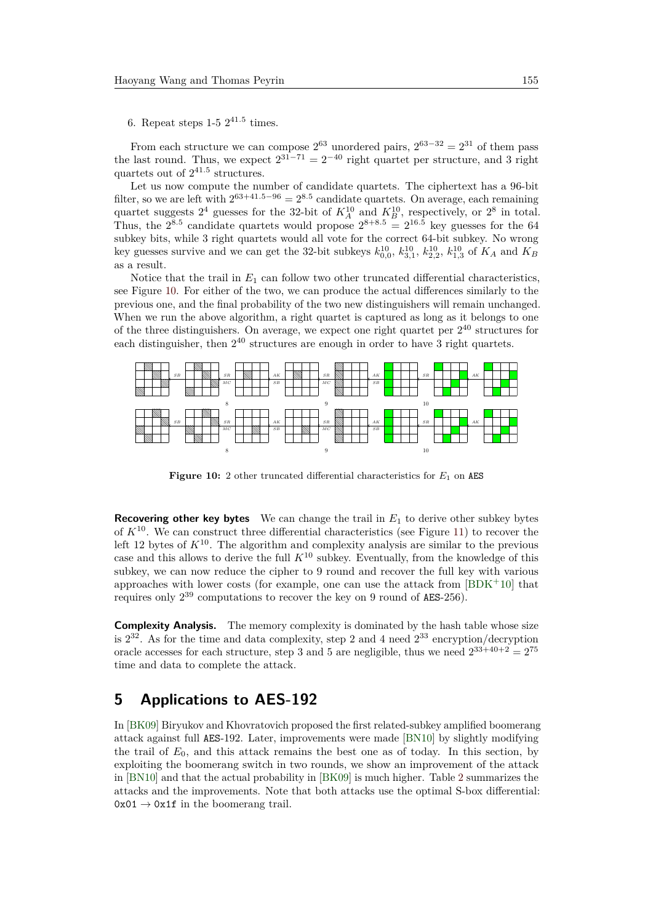#### 6. Repeat steps  $1-5 \; 2^{41.5}$  times.

From each structure we can compose  $2^{63}$  unordered pairs,  $2^{63-32} = 2^{31}$  of them pass the last round. Thus, we expect  $2^{31-71} = 2^{-40}$  right quartet per structure, and 3 right quartets out of 2 41*.*5 structures.

Let us now compute the number of candidate quartets. The ciphertext has a 96-bit filter, so we are left with  $2^{63+41.5-96} = 2^{8.5}$  candidate quartets. On average, each remaining quartet suggests  $2^4$  guesses for the 32-bit of  $K_A^{10}$  and  $K_B^{10}$ , respectively, or  $2^8$  in total. Thus, the  $2^{8.5}$  candidate quartets would propose  $2^{8+8.5} = 2^{16.5}$  key guesses for the 64 subkey bits, while 3 right quartets would all vote for the correct 64-bit subkey. No wrong key guesses survive and we can get the 32-bit subkeys  $k_{0,0}^{10}$ ,  $k_{3,1}^{10}$ ,  $k_{2,2}^{10}$ ,  $k_{1,3}^{10}$  of  $K_A$  and  $K_B$ as a result.

Notice that the trail in  $E_1$  can follow two other truncated differential characteristics, see Figure [10.](#page-13-1) For either of the two, we can produce the actual differences similarly to the previous one, and the final probability of the two new distinguishers will remain unchanged. When we run the above algorithm, a right quartet is captured as long as it belongs to one of the three distinguishers. On average, we expect one right quartet per  $2^{40}$  structures for each distinguisher, then  $2^{40}$  structures are enough in order to have 3 right quartets.

<span id="page-13-1"></span>

**Figure 10:** 2 other truncated differential characteristics for  $E_1$  on AES

**Recovering other key bytes** We can change the trail in *E*<sup>1</sup> to derive other subkey bytes of *K*<sup>10</sup>. We can construct three differential characteristics (see Figure [11\)](#page-14-0) to recover the left 12 bytes of  $K^{10}$ . The algorithm and complexity analysis are similar to the previous case and this allows to derive the full  $K^{10}$  subkey. Eventually, from the knowledge of this subkey, we can now reduce the cipher to 9 round and recover the full key with various approaches with lower costs (for example, one can use the attack from  $[BDK^+10]$  $[BDK^+10]$  that requires only  $2^{39}$  computations to recover the key on 9 round of AES-256).

**Complexity Analysis.** The memory complexity is dominated by the hash table whose size is  $2^{32}$ . As for the time and data complexity, step 2 and 4 need  $2^{33}$  encryption/decryption oracle accesses for each structure, step 3 and 5 are negligible, thus we need  $2^{33+40+2} = 2^{75}$ time and data to complete the attack.

### <span id="page-13-0"></span>**5 Applications to AES-192**

In [\[BK09\]](#page-19-1) Biryukov and Khovratovich proposed the first related-subkey amplified boomerang attack against full AES-192. Later, improvements were made [\[BN10\]](#page-19-6) by slightly modifying the trail of  $E_0$ , and this attack remains the best one as of today. In this section, by exploiting the boomerang switch in two rounds, we show an improvement of the attack in [\[BN10\]](#page-19-6) and that the actual probability in [\[BK09\]](#page-19-1) is much higher. Table [2](#page-14-1) summarizes the attacks and the improvements. Note that both attacks use the optimal S-box differential:  $0x01 \rightarrow 0x1f$  in the boomerang trail.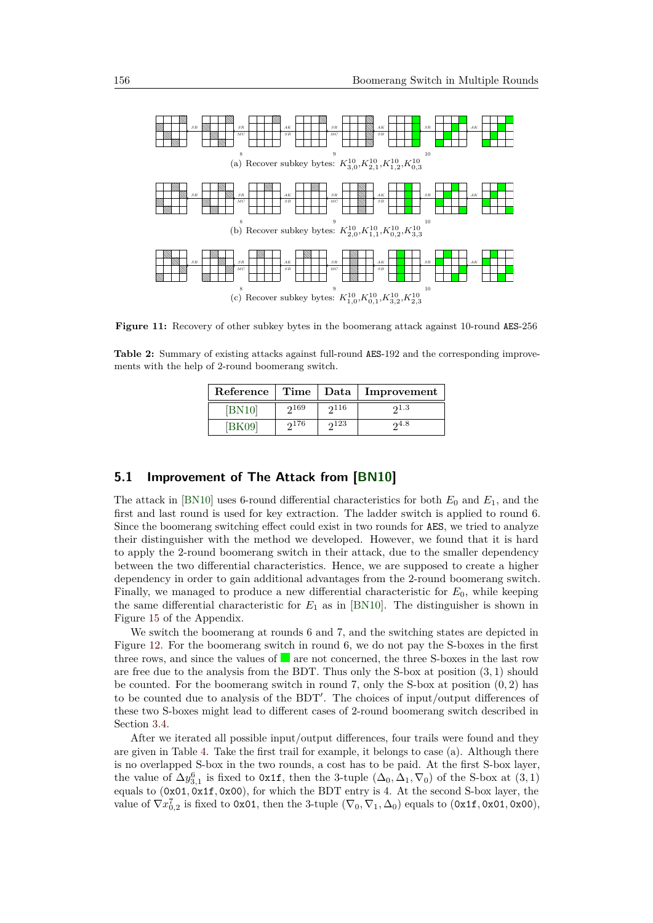<span id="page-14-0"></span>

**Figure 11:** Recovery of other subkey bytes in the boomerang attack against 10-round AES-256

<span id="page-14-1"></span>**Table 2:** Summary of existing attacks against full-round AES-192 and the corresponding improvements with the help of 2-round boomerang switch.

| Reference |      |      | Time   Data   Improvement |
|-----------|------|------|---------------------------|
| [BN10]    | 2169 | 2116 | 21.3                      |
| [BK09]    | 2176 | 23   | າ4.8                      |

#### <span id="page-14-2"></span>**5.1 Improvement of The Attack from [\[BN10\]](#page-19-6)**

The attack in [\[BN10\]](#page-19-6) uses 6-round differential characteristics for both  $E_0$  and  $E_1$ , and the first and last round is used for key extraction. The ladder switch is applied to round 6. Since the boomerang switching effect could exist in two rounds for AES, we tried to analyze their distinguisher with the method we developed. However, we found that it is hard to apply the 2-round boomerang switch in their attack, due to the smaller dependency between the two differential characteristics. Hence, we are supposed to create a higher dependency in order to gain additional advantages from the 2-round boomerang switch. Finally, we managed to produce a new differential characteristic for *E*0, while keeping the same differential characteristic for  $E_1$  as in [\[BN10\]](#page-19-6). The distinguisher is shown in Figure [15](#page-27-0) of the Appendix.

We switch the boomerang at rounds 6 and 7, and the switching states are depicted in Figure [12.](#page-15-0) For the boomerang switch in round 6, we do not pay the S-boxes in the first three rows, and since the values of  $\blacksquare$  are not concerned, the three S-boxes in the last row are free due to the analysis from the BDT. Thus only the S-box at position (3*,* 1) should be counted. For the boomerang switch in round 7, only the S-box at position (0*,* 2) has to be counted due to analysis of the BDT'. The choices of input/output differences of these two S-boxes might lead to different cases of 2-round boomerang switch described in Section [3.4.](#page-8-1)

After we iterated all possible input/output differences, four trails were found and they are given in Table [4.](#page-22-0) Take the first trail for example, it belongs to case (a). Although there is no overlapped S-box in the two rounds, a cost has to be paid. At the first S-box layer, the value of  $\Delta y_{3,1}^6$  is fixed to 0x1f, then the 3-tuple  $(\Delta_0, \Delta_1, \nabla_0)$  of the S-box at  $(3, 1)$ equals to (0x01*,* 0x1f*,* 0x00), for which the BDT entry is 4. At the second S-box layer, the value of  $\nabla x_{0,2}^7$  is fixed to 0x01, then the 3-tuple  $(\nabla_0, \nabla_1, \Delta_0)$  equals to  $(0x1f, 0x01, 0x00)$ ,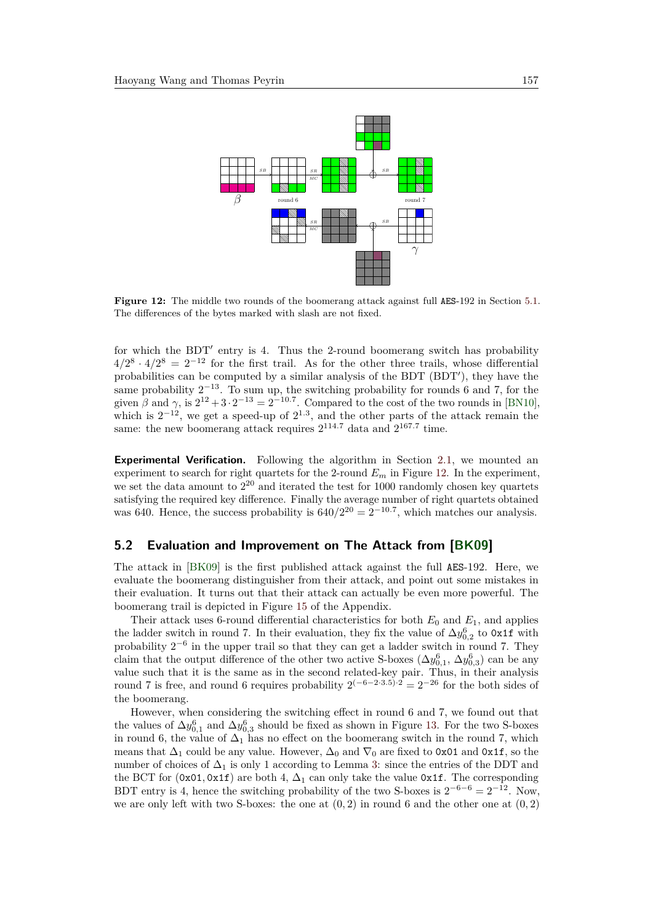<span id="page-15-0"></span>

**Figure 12:** The middle two rounds of the boomerang attack against full AES-192 in Section [5.1.](#page-14-2) The differences of the bytes marked with slash are not fixed.

for which the BDT' entry is 4. Thus the 2-round boomerang switch has probability  $4/2^8 \cdot 4/2^8 = 2^{-12}$  for the first trail. As for the other three trails, whose differential probabilities can be computed by a similar analysis of the BDT  $(BDT')$ , they have the same probability  $2^{-13}$ . To sum up, the switching probability for rounds 6 and 7, for the given  $\beta$  and  $\gamma$ , is  $2^{12} + 3 \cdot 2^{-13} = 2^{-10.7}$ . Compared to the cost of the two rounds in [\[BN10\]](#page-19-6), which is  $2^{-12}$ , we get a speed-up of  $2^{1.3}$ , and the other parts of the attack remain the same: the new boomerang attack requires  $2^{114.7}$  data and  $2^{167.7}$  time.

**Experimental Verification.** Following the algorithm in Section [2.1,](#page-2-1) we mounted an experiment to search for right quartets for the 2-round  $E_m$  in Figure [12.](#page-15-0) In the experiment, we set the data amount to  $2^{20}$  and iterated the test for 1000 randomly chosen key quartets satisfying the required key difference. Finally the average number of right quartets obtained was 640. Hence, the success probability is  $640/2^{20} = 2^{-10.7}$ , which matches our analysis.

#### <span id="page-15-1"></span>**5.2 Evaluation and Improvement on The Attack from [\[BK09\]](#page-19-1)**

The attack in [\[BK09\]](#page-19-1) is the first published attack against the full AES-192. Here, we evaluate the boomerang distinguisher from their attack, and point out some mistakes in their evaluation. It turns out that their attack can actually be even more powerful. The boomerang trail is depicted in Figure [15](#page-27-0) of the Appendix.

Their attack uses 6-round differential characteristics for both  $E_0$  and  $E_1$ , and applies the ladder switch in round 7. In their evaluation, they fix the value of  $\Delta y_{0,2}^6$  to 0x1f with probability  $2^{-6}$  in the upper trail so that they can get a ladder switch in round 7. They claim that the output difference of the other two active S-boxes  $(\Delta y_{0,1}^6, \Delta y_{0,3}^6)$  can be any value such that it is the same as in the second related-key pair. Thus, in their analysis round 7 is free, and round 6 requires probability  $2^{(-6-2\cdot3.5)\cdot2} = 2^{-26}$  for the both sides of the boomerang.

However, when considering the switching effect in round 6 and 7, we found out that the values of  $\Delta y_{0,1}^6$  and  $\Delta y_{0,3}^6$  should be fixed as shown in Figure [13.](#page-16-1) For the two S-boxes in round 6, the value of  $\Delta_1$  has no effect on the boomerang switch in the round 7, which means that  $\Delta_1$  could be any value. However,  $\Delta_0$  and  $\nabla_0$  are fixed to 0x01 and 0x1f, so the number of choices of  $\Delta_1$  is only 1 according to Lemma [3:](#page-6-1) since the entries of the DDT and the BCT for  $(0x01, 0x1f)$  are both 4,  $\Delta_1$  can only take the value 0x1f. The corresponding BDT entry is 4, hence the switching probability of the two S-boxes is  $2^{-6-6} = 2^{-12}$ . Now, we are only left with two S-boxes: the one at  $(0, 2)$  in round 6 and the other one at  $(0, 2)$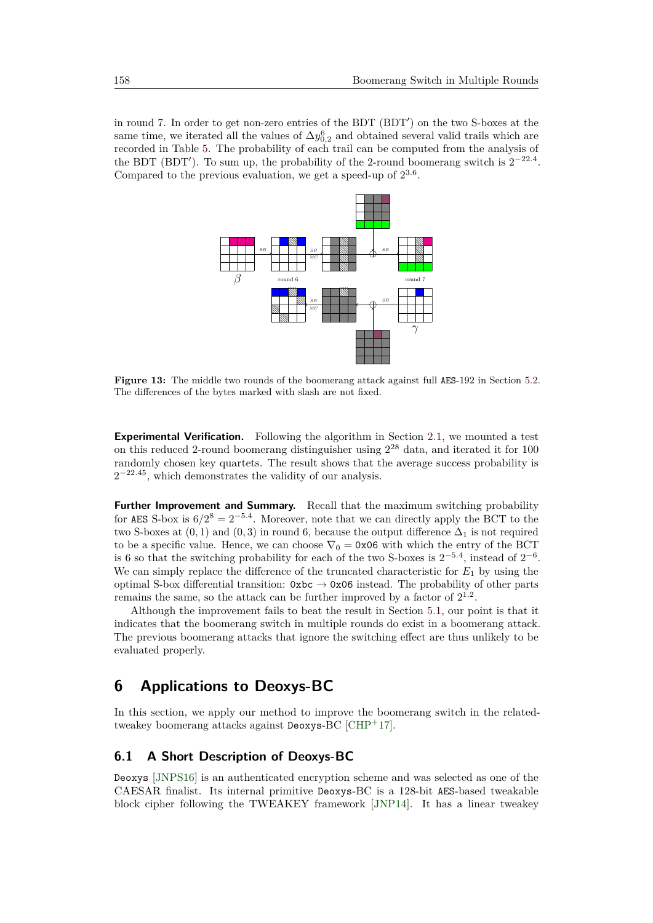<span id="page-16-1"></span>in round 7. In order to get non-zero entries of the BDT (BDT') on the two S-boxes at the same time, we iterated all the values of  $\Delta y_{0,2}^6$  and obtained several valid trails which are recorded in Table [5.](#page-23-0) The probability of each trail can be computed from the analysis of the BDT (BDT<sup>'</sup>). To sum up, the probability of the 2-round boomerang switch is  $2^{-22.4}$ . Compared to the previous evaluation, we get a speed-up of 2 3*.*6 .



**Figure 13:** The middle two rounds of the boomerang attack against full AES-192 in Section [5.2.](#page-15-1) The differences of the bytes marked with slash are not fixed.

**Experimental Verification.** Following the algorithm in Section [2.1,](#page-2-1) we mounted a test on this reduced 2-round boomerang distinguisher using  $2^{28}$  data, and iterated it for 100 randomly chosen key quartets. The result shows that the average success probability is  $2^{-22.45}$ , which demonstrates the validity of our analysis.

**Further Improvement and Summary.** Recall that the maximum switching probability for AES S-box is  $6/2^8 = 2^{-5.4}$ . Moreover, note that we can directly apply the BCT to the two S-boxes at  $(0, 1)$  and  $(0, 3)$  in round 6, because the output difference  $\Delta_1$  is not required to be a specific value. Hence, we can choose  $\nabla_0 = 0 \times 06$  with which the entry of the BCT is 6 so that the switching probability for each of the two S-boxes is  $2^{-5.4}$ , instead of  $2^{-6}$ . We can simply replace the difference of the truncated characteristic for  $E_1$  by using the optimal S-box differential transition:  $0xbc \rightarrow 0x06$  instead. The probability of other parts remains the same, so the attack can be further improved by a factor of  $2^{1.2}$ .

Although the improvement fails to beat the result in Section [5.1,](#page-14-2) our point is that it indicates that the boomerang switch in multiple rounds do exist in a boomerang attack. The previous boomerang attacks that ignore the switching effect are thus unlikely to be evaluated properly.

### <span id="page-16-0"></span>**6 Applications to Deoxys-BC**

In this section, we apply our method to improve the boomerang switch in the relatedtweakey boomerang attacks against Deoxys-BC [\[CHP](#page-19-5)<sup>+</sup>17].

#### **6.1 A Short Description of Deoxys-BC**

Deoxys [\[JNPS16\]](#page-20-4) is an authenticated encryption scheme and was selected as one of the CAESAR finalist. Its internal primitive Deoxys-BC is a 128-bit AES-based tweakable block cipher following the TWEAKEY framework [\[JNP14\]](#page-20-7). It has a linear tweakey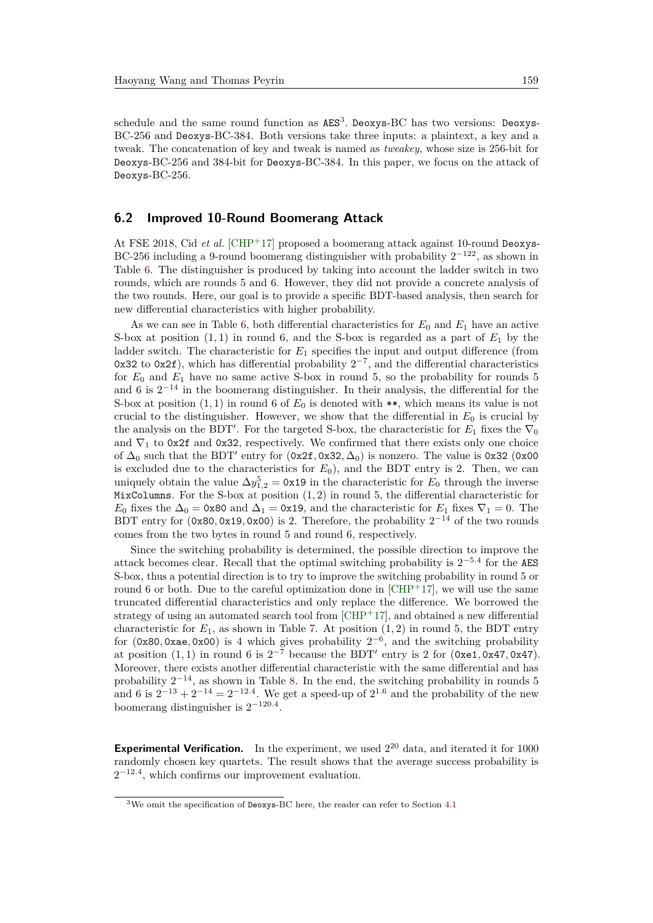schedule and the same round function as  $\texttt{AES}^3$  $\texttt{AES}^3$ . Deoxys-BC has two versions: Deoxys-BC-256 and Deoxys-BC-384. Both versions take three inputs: a plaintext, a key and a tweak. The concatenation of key and tweak is named as *tweakey*, whose size is 256-bit for Deoxys-BC-256 and 384-bit for Deoxys-BC-384. In this paper, we focus on the attack of Deoxys-BC-256.

#### **6.2 Improved 10-Round Boomerang Attack**

At FSE 2018, Cid *et al.* [\[CHP](#page-19-5)<sup>+</sup>17] proposed a boomerang attack against 10-round Deoxys-BC-256 including a 9-round boomerang distinguisher with probability  $2^{-122}$ , as shown in Table [6.](#page-24-0) The distinguisher is produced by taking into account the ladder switch in two rounds, which are rounds 5 and 6. However, they did not provide a concrete analysis of the two rounds. Here, our goal is to provide a specific BDT-based analysis, then search for new differential characteristics with higher probability.

As we can see in Table [6,](#page-24-0) both differential characteristics for  $E_0$  and  $E_1$  have an active S-box at position  $(1, 1)$  in round 6, and the S-box is regarded as a part of  $E_1$  by the ladder switch. The characteristic for *E*<sup>1</sup> specifies the input and output difference (from 0x32 to 0x2f), which has differential probability  $2^{-7}$ , and the differential characteristics for  $E_0$  and  $E_1$  have no same active S-box in round 5, so the probability for rounds 5 and 6 is  $2^{-14}$  in the boomerang distinguisher. In their analysis, the differential for the S-box at position  $(1,1)$  in round 6 of  $E_0$  is denoted with \*\*, which means its value is not crucial to the distinguisher. However, we show that the differential in  $E_0$  is crucial by the analysis on the BDT<sup>'</sup>. For the targeted S-box, the characteristic for  $E_1$  fixes the  $\nabla_0$ and  $\nabla_1$  to 0x2f and 0x32, respectively. We confirmed that there exists only one choice of  $\Delta_0$  such that the BDT' entry for  $(0x2f, 0x32, \Delta_0)$  is nonzero. The value is 0x32 (0x00 is excluded due to the characteristics for  $E_0$ ), and the BDT entry is 2. Then, we can uniquely obtain the value  $\Delta y_{1,2}^5 = 0 \times 19$  in the characteristic for  $E_0$  through the inverse MixColumns. For the S-box at position (1*,* 2) in round 5, the differential characteristic for *E*<sub>0</sub> fixes the  $\Delta_0 = 0x80$  and  $\Delta_1 = 0x19$ , and the characteristic for *E*<sub>1</sub> fixes  $\nabla_1 = 0$ . The BDT entry for  $(0x80, 0x19, 0x00)$  is 2. Therefore, the probability  $2^{-14}$  of the two rounds comes from the two bytes in round 5 and round 6, respectively.

Since the switching probability is determined, the possible direction to improve the attack becomes clear. Recall that the optimal switching probability is 2 −5*.*4 for the AES S-box, thus a potential direction is to try to improve the switching probability in round 5 or round 6 or both. Due to the careful optimization done in  $[CHP<sup>+</sup>17]$  $[CHP<sup>+</sup>17]$ , we will use the same truncated differential characteristics and only replace the difference. We borrowed the strategy of using an automated search tool from  $\lbrack \text{CHP}^+ \text{17} \rbrack$ , and obtained a new differential characteristic for  $E_1$ , as shown in Table [7.](#page-25-0) At position  $(1, 2)$  in round 5, the BDT entry for  $(0x80, 0xae, 0x00)$  is 4 which gives probability  $2^{-6}$ , and the switching probability at position  $(1, 1)$  in round 6 is  $2^{-7}$  because the BDT' entry is 2 for  $(0xe1, 0x47, 0x47)$ . Moreover, there exists another differential characteristic with the same differential and has probability  $2^{-14}$ , as shown in Table [8.](#page-25-1) In the end, the switching probability in rounds 5 and 6 is  $2^{-13} + 2^{-14} = 2^{-12.4}$ . We get a speed-up of  $2^{1.6}$  and the probability of the new boomerang distinguisher is  $2^{-120.4}$ .

**Experimental Verification.** In the experiment, we used  $2^{20}$  data, and iterated it for 1000 randomly chosen key quartets. The result shows that the average success probability is  $2^{-12.4}$ , which confirms our improvement evaluation.

<span id="page-17-0"></span><sup>3</sup>We omit the specification of Deoxys-BC here, the reader can refer to Section [4.1](#page-10-2)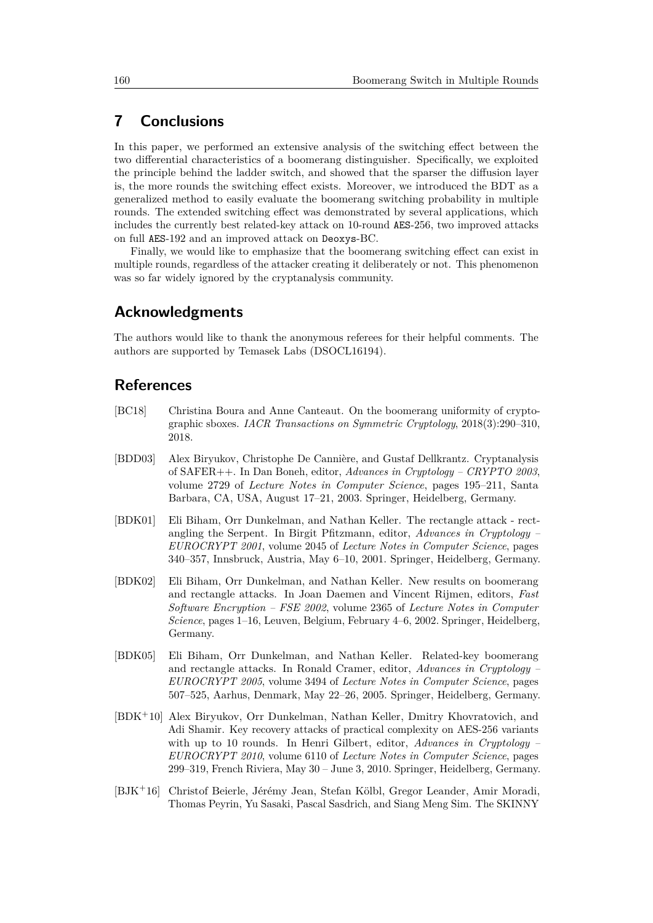# <span id="page-18-7"></span>**7 Conclusions**

In this paper, we performed an extensive analysis of the switching effect between the two differential characteristics of a boomerang distinguisher. Specifically, we exploited the principle behind the ladder switch, and showed that the sparser the diffusion layer is, the more rounds the switching effect exists. Moreover, we introduced the BDT as a generalized method to easily evaluate the boomerang switching probability in multiple rounds. The extended switching effect was demonstrated by several applications, which includes the currently best related-key attack on 10-round AES-256, two improved attacks on full AES-192 and an improved attack on Deoxys-BC.

Finally, we would like to emphasize that the boomerang switching effect can exist in multiple rounds, regardless of the attacker creating it deliberately or not. This phenomenon was so far widely ignored by the cryptanalysis community.

### **Acknowledgments**

The authors would like to thank the anonymous referees for their helpful comments. The authors are supported by Temasek Labs (DSOCL16194).

### **References**

- <span id="page-18-3"></span>[BC18] Christina Boura and Anne Canteaut. On the boomerang uniformity of cryptographic sboxes. *IACR Transactions on Symmetric Cryptology*, 2018(3):290–310, 2018.
- <span id="page-18-2"></span>[BDD03] Alex Biryukov, Christophe De Cannière, and Gustaf Dellkrantz. Cryptanalysis of SAFER++. In Dan Boneh, editor, *Advances in Cryptology – CRYPTO 2003*, volume 2729 of *Lecture Notes in Computer Science*, pages 195–211, Santa Barbara, CA, USA, August 17–21, 2003. Springer, Heidelberg, Germany.
- <span id="page-18-0"></span>[BDK01] Eli Biham, Orr Dunkelman, and Nathan Keller. The rectangle attack - rectangling the Serpent. In Birgit Pfitzmann, editor, *Advances in Cryptology – EUROCRYPT 2001*, volume 2045 of *Lecture Notes in Computer Science*, pages 340–357, Innsbruck, Austria, May 6–10, 2001. Springer, Heidelberg, Germany.
- <span id="page-18-1"></span>[BDK02] Eli Biham, Orr Dunkelman, and Nathan Keller. New results on boomerang and rectangle attacks. In Joan Daemen and Vincent Rijmen, editors, *Fast Software Encryption – FSE 2002*, volume 2365 of *Lecture Notes in Computer Science*, pages 1–16, Leuven, Belgium, February 4–6, 2002. Springer, Heidelberg, Germany.
- <span id="page-18-6"></span>[BDK05] Eli Biham, Orr Dunkelman, and Nathan Keller. Related-key boomerang and rectangle attacks. In Ronald Cramer, editor, *Advances in Cryptology – EUROCRYPT 2005*, volume 3494 of *Lecture Notes in Computer Science*, pages 507–525, Aarhus, Denmark, May 22–26, 2005. Springer, Heidelberg, Germany.
- <span id="page-18-5"></span>[BDK<sup>+</sup>10] Alex Biryukov, Orr Dunkelman, Nathan Keller, Dmitry Khovratovich, and Adi Shamir. Key recovery attacks of practical complexity on AES-256 variants with up to 10 rounds. In Henri Gilbert, editor, *Advances in Cryptology – EUROCRYPT 2010*, volume 6110 of *Lecture Notes in Computer Science*, pages 299–319, French Riviera, May 30 – June 3, 2010. Springer, Heidelberg, Germany.
- <span id="page-18-4"></span>[BJK<sup>+</sup>16] Christof Beierle, Jérémy Jean, Stefan Kölbl, Gregor Leander, Amir Moradi, Thomas Peyrin, Yu Sasaki, Pascal Sasdrich, and Siang Meng Sim. The SKINNY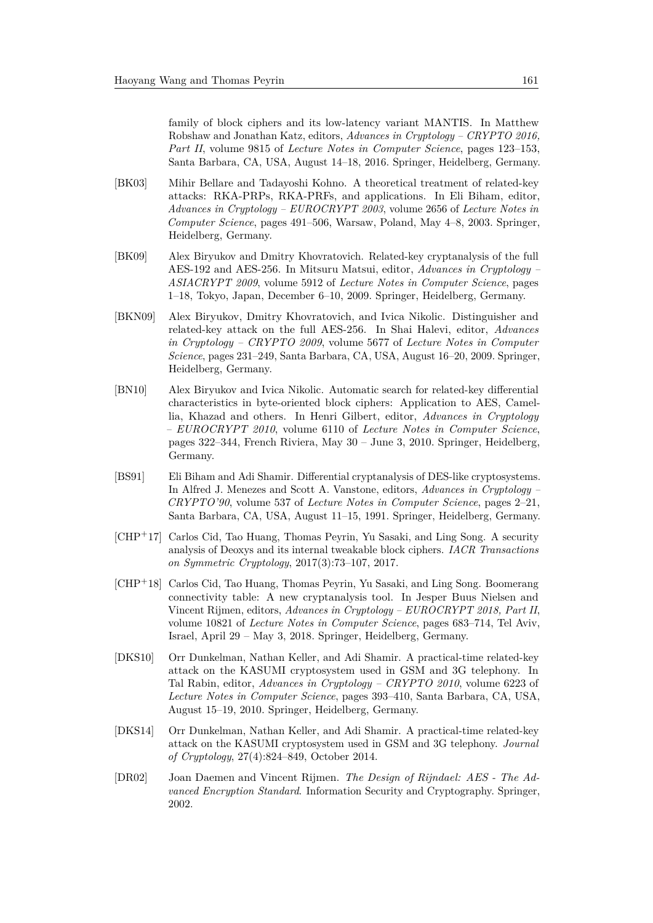family of block ciphers and its low-latency variant MANTIS. In Matthew Robshaw and Jonathan Katz, editors, *Advances in Cryptology – CRYPTO 2016, Part II*, volume 9815 of *Lecture Notes in Computer Science*, pages 123–153, Santa Barbara, CA, USA, August 14–18, 2016. Springer, Heidelberg, Germany.

- <span id="page-19-7"></span>[BK03] Mihir Bellare and Tadayoshi Kohno. A theoretical treatment of related-key attacks: RKA-PRPs, RKA-PRFs, and applications. In Eli Biham, editor, *Advances in Cryptology – EUROCRYPT 2003*, volume 2656 of *Lecture Notes in Computer Science*, pages 491–506, Warsaw, Poland, May 4–8, 2003. Springer, Heidelberg, Germany.
- <span id="page-19-1"></span>[BK09] Alex Biryukov and Dmitry Khovratovich. Related-key cryptanalysis of the full AES-192 and AES-256. In Mitsuru Matsui, editor, *Advances in Cryptology – ASIACRYPT 2009*, volume 5912 of *Lecture Notes in Computer Science*, pages 1–18, Tokyo, Japan, December 6–10, 2009. Springer, Heidelberg, Germany.
- <span id="page-19-9"></span>[BKN09] Alex Biryukov, Dmitry Khovratovich, and Ivica Nikolic. Distinguisher and related-key attack on the full AES-256. In Shai Halevi, editor, *Advances in Cryptology – CRYPTO 2009*, volume 5677 of *Lecture Notes in Computer Science*, pages 231–249, Santa Barbara, CA, USA, August 16–20, 2009. Springer, Heidelberg, Germany.
- <span id="page-19-6"></span>[BN10] Alex Biryukov and Ivica Nikolic. Automatic search for related-key differential characteristics in byte-oriented block ciphers: Application to AES, Camellia, Khazad and others. In Henri Gilbert, editor, *Advances in Cryptology – EUROCRYPT 2010*, volume 6110 of *Lecture Notes in Computer Science*, pages 322–344, French Riviera, May 30 – June 3, 2010. Springer, Heidelberg, Germany.
- <span id="page-19-0"></span>[BS91] Eli Biham and Adi Shamir. Differential cryptanalysis of DES-like cryptosystems. In Alfred J. Menezes and Scott A. Vanstone, editors, *Advances in Cryptology – CRYPTO'90*, volume 537 of *Lecture Notes in Computer Science*, pages 2–21, Santa Barbara, CA, USA, August 11–15, 1991. Springer, Heidelberg, Germany.
- <span id="page-19-5"></span>[CHP<sup>+</sup>17] Carlos Cid, Tao Huang, Thomas Peyrin, Yu Sasaki, and Ling Song. A security analysis of Deoxys and its internal tweakable block ciphers. *IACR Transactions on Symmetric Cryptology*, 2017(3):73–107, 2017.
- <span id="page-19-4"></span>[CHP<sup>+</sup>18] Carlos Cid, Tao Huang, Thomas Peyrin, Yu Sasaki, and Ling Song. Boomerang connectivity table: A new cryptanalysis tool. In Jesper Buus Nielsen and Vincent Rijmen, editors, *Advances in Cryptology – EUROCRYPT 2018, Part II*, volume 10821 of *Lecture Notes in Computer Science*, pages 683–714, Tel Aviv, Israel, April 29 – May 3, 2018. Springer, Heidelberg, Germany.
- <span id="page-19-2"></span>[DKS10] Orr Dunkelman, Nathan Keller, and Adi Shamir. A practical-time related-key attack on the KASUMI cryptosystem used in GSM and 3G telephony. In Tal Rabin, editor, *Advances in Cryptology – CRYPTO 2010*, volume 6223 of *Lecture Notes in Computer Science*, pages 393–410, Santa Barbara, CA, USA, August 15–19, 2010. Springer, Heidelberg, Germany.
- <span id="page-19-3"></span>[DKS14] Orr Dunkelman, Nathan Keller, and Adi Shamir. A practical-time related-key attack on the KASUMI cryptosystem used in GSM and 3G telephony. *Journal of Cryptology*, 27(4):824–849, October 2014.
- <span id="page-19-8"></span>[DR02] Joan Daemen and Vincent Rijmen. *The Design of Rijndael: AES - The Advanced Encryption Standard*. Information Security and Cryptography. Springer, 2002.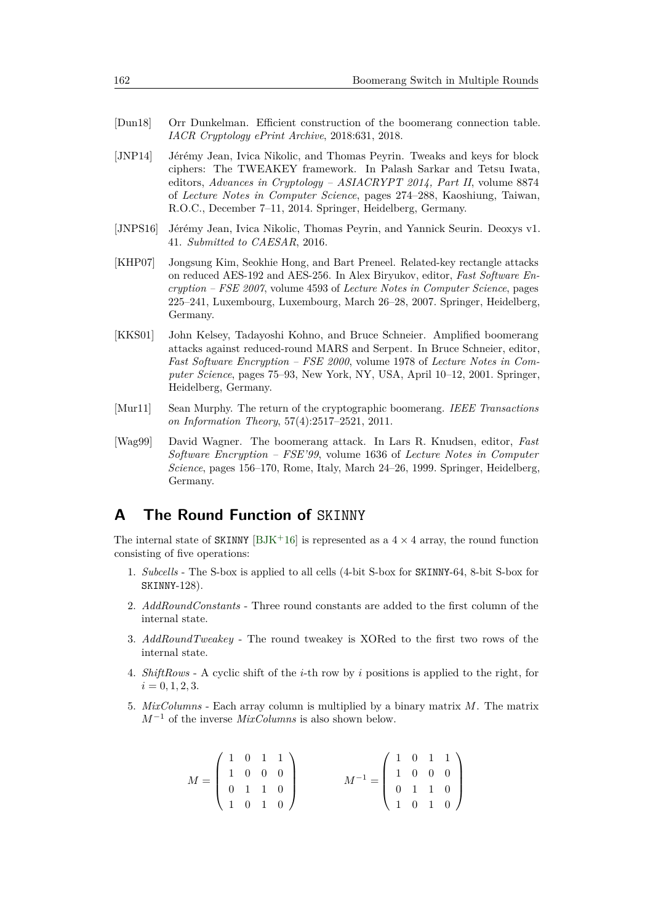- <span id="page-20-6"></span>[Dun18] Orr Dunkelman. Efficient construction of the boomerang connection table. *IACR Cryptology ePrint Archive*, 2018:631, 2018.
- <span id="page-20-7"></span>[JNP14] Jérémy Jean, Ivica Nikolic, and Thomas Peyrin. Tweaks and keys for block ciphers: The TWEAKEY framework. In Palash Sarkar and Tetsu Iwata, editors, *Advances in Cryptology – ASIACRYPT 2014, Part II*, volume 8874 of *Lecture Notes in Computer Science*, pages 274–288, Kaoshiung, Taiwan, R.O.C., December 7–11, 2014. Springer, Heidelberg, Germany.
- <span id="page-20-4"></span>[JNPS16] Jérémy Jean, Ivica Nikolic, Thomas Peyrin, and Yannick Seurin. Deoxys v1. 41. *Submitted to CAESAR*, 2016.
- <span id="page-20-3"></span>[KHP07] Jongsung Kim, Seokhie Hong, and Bart Preneel. Related-key rectangle attacks on reduced AES-192 and AES-256. In Alex Biryukov, editor, *Fast Software Encryption – FSE 2007*, volume 4593 of *Lecture Notes in Computer Science*, pages 225–241, Luxembourg, Luxembourg, March 26–28, 2007. Springer, Heidelberg, Germany.
- <span id="page-20-1"></span>[KKS01] John Kelsey, Tadayoshi Kohno, and Bruce Schneier. Amplified boomerang attacks against reduced-round MARS and Serpent. In Bruce Schneier, editor, *Fast Software Encryption – FSE 2000*, volume 1978 of *Lecture Notes in Computer Science*, pages 75–93, New York, NY, USA, April 10–12, 2001. Springer, Heidelberg, Germany.
- <span id="page-20-2"></span>[Mur11] Sean Murphy. The return of the cryptographic boomerang. *IEEE Transactions on Information Theory*, 57(4):2517–2521, 2011.
- <span id="page-20-0"></span>[Wag99] David Wagner. The boomerang attack. In Lars R. Knudsen, editor, *Fast Software Encryption – FSE'99*, volume 1636 of *Lecture Notes in Computer Science*, pages 156–170, Rome, Italy, March 24–26, 1999. Springer, Heidelberg, Germany.

# <span id="page-20-5"></span>**A The Round Function of** SKINNY

The internal state of SKINNY [\[BJK](#page-18-4)+16] is represented as a  $4 \times 4$  array, the round function consisting of five operations:

- 1. *Subcells* The S-box is applied to all cells (4-bit S-box for SKINNY-64, 8-bit S-box for SKINNY-128).
- 2. *AddRoundConstants* Three round constants are added to the first column of the internal state.
- 3. *AddRoundTweakey* The round tweakey is XORed to the first two rows of the internal state.
- 4. *ShiftRows* A cyclic shift of the *i*-th row by *i* positions is applied to the right, for  $i = 0, 1, 2, 3.$
- 5. *MixColumns* Each array column is multiplied by a binary matrix *M*. The matrix *M*<sup>−</sup><sup>1</sup> of the inverse *MixColumns* is also shown below.

$$
M = \left(\begin{array}{rrr} 1 & 0 & 1 & 1 \\ 1 & 0 & 0 & 0 \\ 0 & 1 & 1 & 0 \\ 1 & 0 & 1 & 0 \end{array}\right) \qquad \qquad M^{-1} = \left(\begin{array}{rrr} 1 & 0 & 1 & 1 \\ 1 & 0 & 0 & 0 \\ 0 & 1 & 1 & 0 \\ 1 & 0 & 1 & 0 \end{array}\right)
$$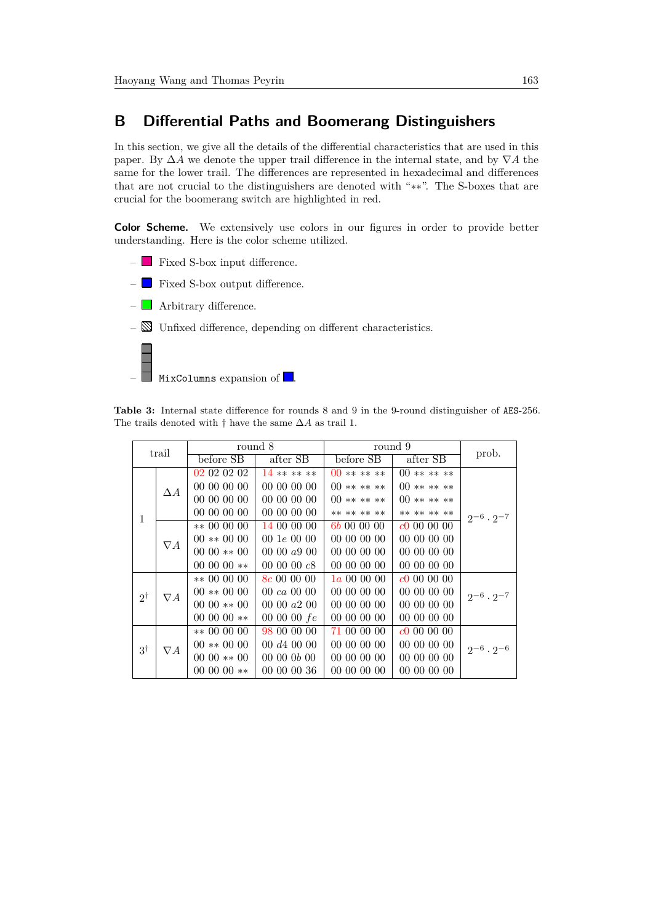# <span id="page-21-1"></span>**B Differential Paths and Boomerang Distinguishers**

In this section, we give all the details of the differential characteristics that are used in this paper. By ∆*A* we denote the upper trail difference in the internal state, and by ∇*A* the same for the lower trail. The differences are represented in hexadecimal and differences that are not crucial to the distinguishers are denoted with "∗∗". The S-boxes that are crucial for the boomerang switch are highlighted in red.

**Color Scheme.** We extensively use colors in our figures in order to provide better understanding. Here is the color scheme utilized.

–  $\Box$  Fixed S-box input difference. –  $\blacksquare$  Fixed S-box output difference. –  $\Box$  Arbitrary difference.  $-\mathbb{N}$  Unfixed difference, depending on different characteristics.

MixColumns expansion of  $\Box$ 

<span id="page-21-0"></span>**Table 3:** Internal state difference for rounds 8 and 9 in the 9-round distinguisher of AES-256. The trails denoted with † have the same ∆*A* as trail 1.

|               | trail      |                      | round 8                | round 9             |             | prob.                 |
|---------------|------------|----------------------|------------------------|---------------------|-------------|-----------------------|
|               |            | before SB            | after SB               | before SB           | after SB    |                       |
|               |            | 02 02 02 02          | $14*****$              | $00******$          | $00******$  |                       |
|               | $\Delta A$ | 00 00 00 00          | 00 00 00 00            | $00******$          | $00******$  |                       |
|               |            | 00 00 00 00          | 00 00 00 00            | $00******$          | $00******$  |                       |
| $\mathbf{1}$  |            | 00 00 00 00          | 00 00 00 00            | ** ** ** **         | ** ** ** ** | $2^{-6} \cdot 2^{-7}$ |
|               |            | $** 00000$           | 14 00 00 00            | 6 <i>b</i> 00 00 00 | c000000     |                       |
|               | $\nabla A$ | $00 \ast * 00$ 00    | $00 \, 1e \, 00 \, 00$ | 00 00 00 00         | 00 00 00 00 |                       |
|               |            | $0000**00$           | 00 00 $a900$           | 00 00 00 00         | 00 00 00 00 |                       |
|               |            | 00 00 00 $**$        | 00 00 00 $c8$          | 00 00 00 00         | 00 00 00 00 |                       |
|               |            | $** 00 00 00$        | 8c 00 00 00            | $1a\ 00\ 00\ 00$    | c000000     |                       |
| $2^{\dagger}$ | $\nabla A$ | $00 \ast \ast 00$ 00 | $00 \ ca \ 00 \ 00$    | 00 00 00 00         | 00 00 00 00 | $2^{-6} \cdot 2^{-7}$ |
|               |            | $0000**00$           | $00\;00\;a2\;00$       | 00 00 00 00         | 00 00 00 00 |                       |
|               |            | 00 00 00 $**$        | 00 00 00 $fe$          | 00 00 00 00         | 00 00 00 00 |                       |
|               |            | $** 00 00 00$        | 98 00 00 00            | 71 00 00 00         | c000000     |                       |
| $3^{\dagger}$ | $\nabla A$ | $00 \ast \ast 00$ 00 | 00 d4 00 00            | 00 00 00 00         | 00 00 00 00 | $2^{-6} \cdot 2^{-6}$ |
|               |            | $0000**00$           | 00000 b00              | 00 00 00 00         | 00 00 00 00 |                       |
|               |            | 00 00 00 $**$        | 00 00 00 36            | 00 00 00 00         | 00 00 00 00 |                       |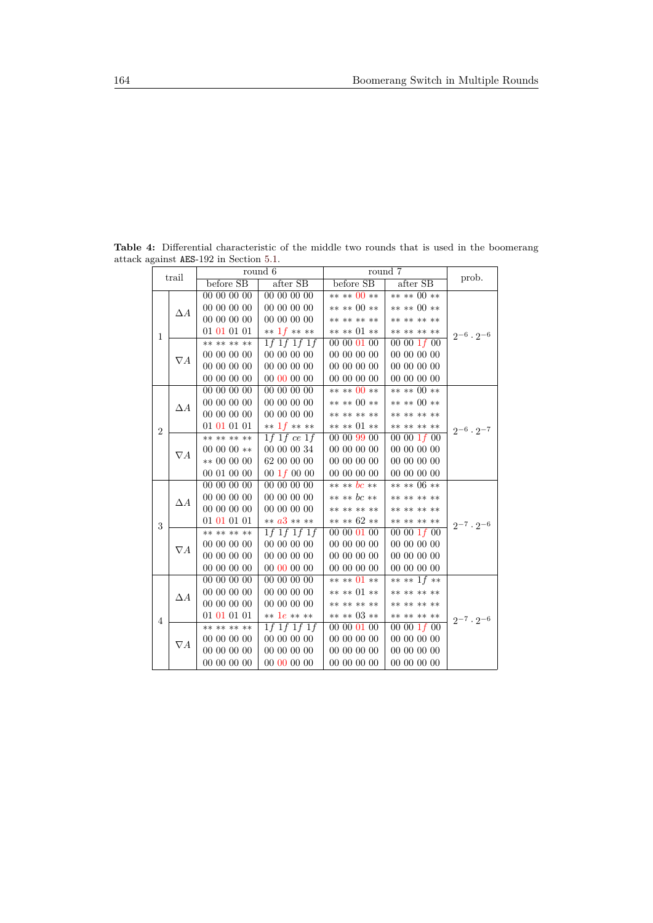| trail          |            |               | round 6                |               | round 7          |                       |  |
|----------------|------------|---------------|------------------------|---------------|------------------|-----------------------|--|
|                |            | before SB     | after SB               | before SB     | after SB         | prob.                 |  |
|                |            | 00 00 00 00   | 00 00 00 00            | ** ** 00 **   | ** ** 00 **      |                       |  |
|                | $\Delta A$ | 00 00 00 00   | 00 00 00 00            | ** ** 00 **   | ** ** 00 **      |                       |  |
|                |            | 00 00 00 00   | 00 00 00 00            | ** ** ** **   | ** ** ** **      |                       |  |
| $\mathbf{1}$   |            | 01 01 01 01   | ** $1f$ ** **          | ** ** 01 **   | ** ** ** **      | $2^{-6} \cdot 2^{-6}$ |  |
|                |            | ** ** ** **   | $1f$ 1 $f$ 1 $f$ 1 $f$ | 00 00 01 00   | 00001f00         |                       |  |
|                | $\nabla A$ | 00 00 00 00   | 00 00 00 00            | 00 00 00 00   | 00 00 00 00      |                       |  |
|                |            | 00 00 00 00   | 00 00 00 00            | 00 00 00 00   | 00 00 00 00      |                       |  |
|                |            | 00 00 00 00   | 00 00 00 00            | 00 00 00 00   | 00 00 00 00      |                       |  |
|                |            | 00 00 00 00   | 00 00 00 00            | ** ** 00 **   | ** ** 00 **      |                       |  |
|                | $\Delta A$ | 00 00 00 00   | 00 00 00 00            | ** ** 00 **   | ** ** 00 **      |                       |  |
|                |            | 00 00 00 00   | 00 00 00 00            | ** ** ** **   | ** ** ** **      |                       |  |
| $\overline{2}$ |            | 01 01 01 01   | ** $1f$ ** **          | ** ** 01 **   | ** ** ** **      | $2^{-6} \cdot 2^{-7}$ |  |
|                |            | ** ** ** **   | 1f 1f ce 1f            | 00 00 99 00   | 00 00 $1f$ 00    |                       |  |
|                | $\nabla A$ | 00 00 00 $**$ | 00 00 00 34            | 00 00 00 00   | 00 00 00 00      |                       |  |
|                |            | $** 00 00 00$ | 62 00 00 00            | 00 00 00 00   | $00\ 00\ 00\ 00$ |                       |  |
|                |            | 00 01 00 00   | $00 \; 1f \; 00 \; 00$ | 00 00 00 00   | 00 00 00 00      |                       |  |
|                |            | 00 00 00 00   | 00 00 00 00            | ** ** bc **   | ** ** 06 **      |                       |  |
|                | $\Delta A$ | 00 00 00 00   | 00 00 00 00            | ** ** bc **   | ** ** ** **      |                       |  |
|                |            | 00 00 00 00   | 00 00 00 00            | ** ** ** **   | ** ** ** **      |                       |  |
| 3              |            | 01 01 01 01   | ** $a3$ ** **          | ** ** $62$ ** | ** ** ** **      | $2^{-7} \cdot 2^{-6}$ |  |
|                |            | ** ** ** **   | $1f$ 1f 1f 1f          | 00 00 01 00   | 00 00 $1f$ 00    |                       |  |
|                | $\nabla A$ | 00 00 00 00   | 00 00 00 00            | 00 00 00 00   | $00\ 00\ 00\ 00$ |                       |  |
|                |            | 00 00 00 00   | 00 00 00 00            | 00000000      | 00 00 00 00      |                       |  |
|                |            | 00 00 00 00   | 00 00 00 00            | 00 00 00 00   | 00 00 00 00      |                       |  |
|                |            | 00 00 00 00   | 00 00 00 00            | ** ** 01 **   | ** ** 1 $f$ **   |                       |  |
|                | $\Delta A$ | 00 00 00 00   | 00 00 00 00            | ** ** 01 **   | ** ** ** **      |                       |  |
|                |            | 00 00 00 00   | 00 00 00 00            | ** ** ** **   | ** ** ** **      |                       |  |
|                |            | 01 01 01 01   | $** 1e ****$           | $*** 03 **$   | ** ** ** **      | $2^{-7} \cdot 2^{-6}$ |  |
| $\overline{4}$ |            | ** ** ** **   | 1f 1f 1f 1f            | 00 00 01 00   | 00 00 $1f$ 00    |                       |  |
|                |            | 00 00 00 00   | 00 00 00 00            | 00 00 00 00   | 00 00 00 00      |                       |  |
|                | $\nabla A$ | 00 00 00 00   | 00 00 00 00            | 00 00 00 00   | 00 00 00 00      |                       |  |
|                |            | 00 00 00 00   | 00 00 00 00            | 00 00 00 00   | 00 00 00 00      |                       |  |

<span id="page-22-0"></span>**Table 4:** Differential characteristic of the middle two rounds that is used in the boomerang attack against AES-192 in Section [5.1.](#page-14-2)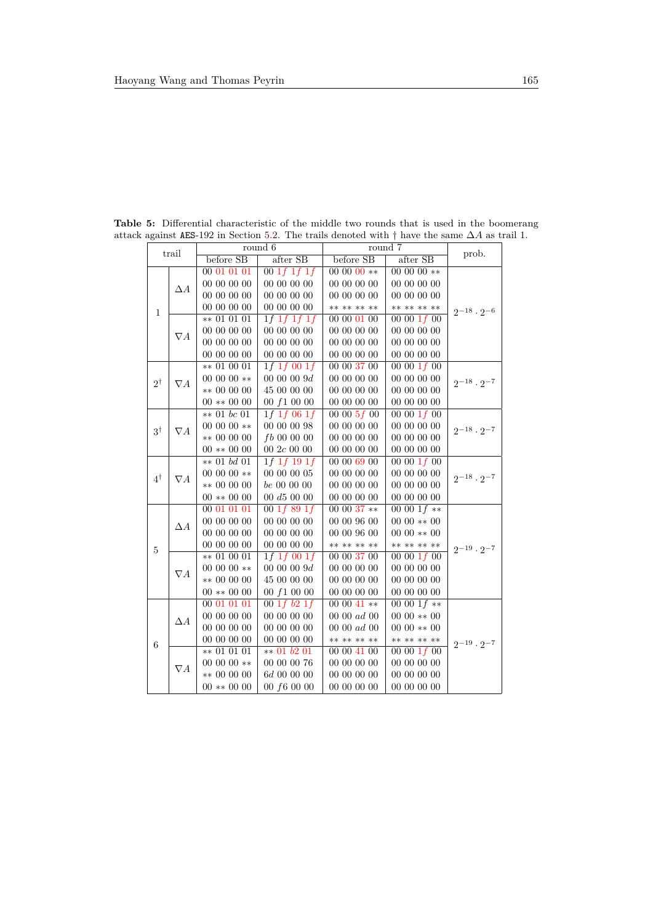|               | trail                       | round 6          |                        | round 7       |                | prob.                  |
|---------------|-----------------------------|------------------|------------------------|---------------|----------------|------------------------|
|               |                             | before SB        | after SB               | before SB     | after SB       |                        |
|               |                             | 00 01 01 01      | 001f1f1f               | 00 00 00 $**$ | 00 00 00 $**$  |                        |
|               | $\Delta A$                  | $00\ 00\ 00\ 00$ | 00 00 00 00            | 00 00 00 00   | 00 00 00 00    |                        |
|               |                             | 00 00 00 00      | 00 00 00 00            | 00 00 00 00   | 00 00 00 00    |                        |
| $\mathbf{1}$  |                             | 00 00 00 00      | 00 00 00 00            | ** ** ** **   | ** ** ** **    | $2^{-18} \cdot 2^{-6}$ |
|               |                             | ** 01 01 01      | 1f 1f 1f 1f            | 00 00 01 00   | 00001f00       |                        |
|               | $\nabla A$                  | 00 00 00 00      | 00 00 00 00            | 00 00 00 00   | 00 00 00 00    |                        |
|               |                             | 00 00 00 00      | 00 00 00 00            | 00 00 00 00   | 00 00 00 00    |                        |
|               |                             | 00 00 00 00      | 00 00 00 00            | 00 00 00 00   | 00 00 00 00    |                        |
|               |                             | ** 01 00 01      | 1f 1f 00 1f            | 00 00 37 00   | 00001f00       |                        |
| $2^{\dagger}$ | $\nabla A$                  | 00 00 00 **      | 00 00 00 $9d$          | 00 00 00 00   | 00000000       | $2^{-18} \cdot 2^{-7}$ |
|               |                             | $** 00 00 00$    | 45 00 00 00            | 00 00 00 00   | 00 00 00 00    |                        |
|               |                             | $00**0000$       | 00 f1 00 00            | 00 00 00 00   | 00 00 00 00    |                        |
|               |                             | $** 01 bc 01$    | 1f 1f 06 1f            | 00005f00      | 00001f00       | $2^{-18} \cdot 2^{-7}$ |
| $3^{\dagger}$ | $\nabla A$                  | $00000**$        | 00 00 00 98            | 00 00 00 00   | 00 00 00 00    |                        |
|               |                             | ** 00 00 00      | $fb$ 00 00 00          | 00 00 00 00   | 00 00 00 00    |                        |
|               |                             | $00**0000$       | $00\ 2c\ 00\ 00$       | 00 00 00 00   | 00 00 00 00    |                        |
|               |                             | $** 01 bd 01$    | 1f 1f 19 1f            | 00 00 69 00   | 00 00 $1f$ 00  |                        |
| 4†            |                             | 00 00 00 **      | 00 00 00 05            | 00 00 00 00   | 00 00 00 00    | $2^{-18} \cdot 2^{-7}$ |
|               | $\nabla A$<br>$** 00 00 00$ | $be\ 00\ 00\ 00$ | 00 00 00 00            | 00 00 00 00   |                |                        |
|               |                             | $00$ ** $00$ 00  | 00 d5 00 00            | 00 00 00 00   | 00000000       |                        |
|               |                             | 00 01 01 01      | 00 $1f$ 89 $1f$        | 00 00 37 **   | 00 00 1 $f$ ** |                        |
|               | $\Delta A$                  | 00 00 00 00      | 00 00 00 00            | 00 00 96 00   | $0000**00$     |                        |
|               |                             | 00 00 00 00      | 00 00 00 00            | 00 00 96 00   | $0000**00$     |                        |
| $\bf 5$       |                             | 00 00 00 00      | 00 00 00 00            | ** ** ** **   | ** ** ** **    | $2^{-19} \cdot 2^{-7}$ |
|               |                             | $** 01 00 01$    | 1f 1f 00 1f            | 00 00 37 00   | 00 00 $1f$ 00  |                        |
|               | $\nabla A$                  | 00 00 00 **      | 0000009d               | 00 00 00 00   | 00 00 00 00    |                        |
|               |                             | ** 00 00 00      | 45 00 00 00            | 00 00 00 00   | 00 00 00 00    |                        |
|               |                             | $00$ ** $00$ 00  | 00 f1 00 00            | 00 00 00 00   | 00 00 00 00    |                        |
|               |                             | 00 01 01 01      | $00 \; 1f \; b2 \; 1f$ | 00 00 41 **   | 00 00 $1f$ **  |                        |
|               |                             | 00 00 00 00      | 00 00 00 00            | 00 00 ad 00   | $0000**00$     |                        |
|               | $\Delta A$                  | 00 00 00 00      | 00 00 00 00            | 00 00 ad 00   | $0000**00$     |                        |
|               |                             | 00 00 00 00      | 00 00 00 00            | ** ** ** **   | ** ** ** **    | $2^{-19} \cdot 2^{-7}$ |
| 6             |                             | $** 01 01 01$    | $** 01 b2 01$          | 00 00 41 00   | 00001f00       |                        |
|               | $\nabla A$                  | 00 00 00 **      | 00 00 00 76            | 00 00 00 00   | 00 00 00 00    |                        |
|               |                             | $** 00 00 00$    | 6d 00 00 00            | 00 00 00 00   | 00 00 00 00    |                        |
|               |                             | $00**0000$       | 00 f6 00 00            | 00 00 00 00   | 00 00 00 00    |                        |

<span id="page-23-0"></span>**Table 5:** Differential characteristic of the middle two rounds that is used in the boomerang attack against AES-192 in Section [5.2.](#page-15-1) The trails denoted with † have the same ∆*A* as trail 1.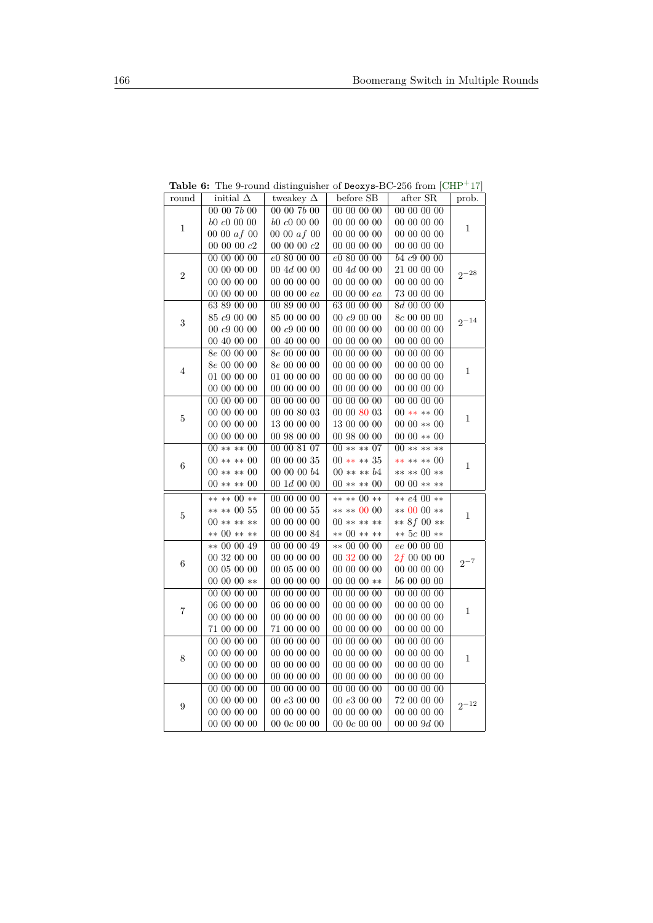| round            | initial $\Delta$ | tweakey $\Delta$       | before SB        | after SR         | prob.                                                           |
|------------------|------------------|------------------------|------------------|------------------|-----------------------------------------------------------------|
|                  | 00 00 7b 00      | 00 00 7b 00            | 00 00 00 00      | 00 00 00 00      |                                                                 |
|                  | b0c00000         | b0 c0 00 00            | 00 00 00 00      | 00 00 00 00      |                                                                 |
| $\mathbf{1}$     | 00 00 $af$ 00    | 00 00 $af$ 00          | 00 00 00 00      | 00 00 00 00      | $\mathbf{1}$                                                    |
|                  | $00\ 00\ 00\ c2$ | 00 00 00 $c2$          | 00 00 00 00      | 00 00 00 00      |                                                                 |
|                  | 00 00 00 00      | e080000                | e0 80 00 00      | b4c9000          |                                                                 |
| $\,2$            | 00 00 00 00      | $00\;4d\;00\;00$       | $00\;4d\;00\;00$ | 21 00 00 00      | $2^{-28}$                                                       |
|                  | 00 00 00 00      | 00 00 00 00            | 00 00 00 00      | 00 00 00 00      |                                                                 |
|                  | 00 00 00 00      | $00\ 00\ 00\ ea$       | $00\ 00\ 00\ ea$ | 73 00 00 00      |                                                                 |
|                  | 63 89 00 00      | 00 89 00 00            | 63 00 00 00      | 8d 00 00 00      |                                                                 |
|                  | 85 c9 00 00      | 85 00 00 00            | $00\ c9\ 00\ 00$ | $8\,$ 00 00 00   | $2^{-14}$                                                       |
| 3                | $00\;c9\;00\;00$ | $00\;c9\;00\;00$       | 00 00 00 00      | 00 00 00 00      |                                                                 |
|                  | 00 40 00 00      | 00 40 00 00            | 00 00 00 00      | 00 00 00 00      |                                                                 |
|                  | $8e\ 00\ 00\ 00$ | $8e\ 00\ 00\ 00$       | 00 00 00 00      | 00 00 00 00      |                                                                 |
| $\overline{4}$   | $8e\ 00\ 00\ 00$ | $8e\ 00\ 00\ 00$       | 00 00 00 00      | 00 00 00 00      |                                                                 |
|                  | 01 00 00 00      | 01 00 00 00            | 00 00 00 00      | 00 00 00 00      |                                                                 |
|                  | 00 00 00 00      | 00 00 00 00            | 00 00 00 00      | 00 00 00 00      |                                                                 |
|                  | 00 00 00 00      | 00 00 00 00            | 00 00 00 00      | 00 00 00 00      | $\mathbf{1}$                                                    |
|                  | 00 00 00 00      | $00\ 00\ 80\ 03$       | 00 00 80 03      | $00***00$        |                                                                 |
| $\bf 5$          | 00 00 00 00      | 13 00 00 00            | 13 00 00 00      | $0000**00$       |                                                                 |
|                  | 00 00 00 00      | 00 98 00 00            | 00 98 00 00      | $0000**00$       |                                                                 |
|                  | $00***00$        | 00 00 81 07            | $00****07$       | 00 ** ** **      |                                                                 |
| 6                | $00***00$        | 00 00 00 35            | $00****35$       | ** ** ** 00      |                                                                 |
|                  | $00***00$        | 00 00 00 $b4$          | $00*** b4$       | ** ** 00 **      | $\mathbf{1}$                                                    |
|                  | $00***00$        | $00 \; 1d \; 00 \; 00$ | $00****00$       | $0000****$       |                                                                 |
|                  | ** ** 00 **      | 00000000               | ** ** 00 **      | ** $e400**$      |                                                                 |
|                  | ** ** 00 55      | $00\ 00\ 00\ 55$       | ** ** 00 00      | $** 0000**$      |                                                                 |
| 5                | $00******$       | 00 00 00 00            | $00******$       | ** $8f00**$      |                                                                 |
|                  | ** 00 ** **      | 00 00 00 84            | ** 00 ** **      | ** $5c00**$      |                                                                 |
|                  | $** 00 00 49$    | 00 00 00 49            | $** 00 00 00$    | ee 00 00 00      |                                                                 |
|                  | 00 32 00 00      | 00 00 00 00            | 00 32 00 00      | $2f\ 00\ 00\ 00$ |                                                                 |
| 6                | 00 05 00 00      | 00050000               | 00 00 00 00      | 00 00 00 00      | 1<br>1<br>$2^{-7}$<br>$\mathbf{1}$<br>$\mathbf{1}$<br>$2^{-12}$ |
|                  | 00 00 00 $**$    | 00 00 00 00            | $00000**$        | 66 00 00 00      |                                                                 |
|                  | 00 00 00 00      | 00 00 00 00            | 00 00 00 00      | 00 00 00 00      |                                                                 |
| $\overline{7}$   | 06 00 00 00      | 06 00 00 00            | 00 00 00 00      | 00 00 00 00      |                                                                 |
|                  | 00 00 00 00      | 00 00 00 00            | 00 00 00 00      | 00 00 00 00      |                                                                 |
|                  | 71 00 00 00      | 71 00 00 00            | 00 00 00 00      | 00 00 00 00      |                                                                 |
|                  | 00 00 00 00      | 00 00 00 00            | 00 00 00 00      | 00 00 00 00      |                                                                 |
| 8                | 00 00 00 00      | 00 00 00 00            | 00 00 00 00      | 00 00 00 00      |                                                                 |
|                  | 00 00 00 00      | 00 00 00 00            | 00 00 00 00      | 00 00 00 00      |                                                                 |
|                  | 00 00 00 00      | 00 00 00 00            | 00 00 00 00      | 00 00 00 00      |                                                                 |
|                  | 00 00 00 00      | 00 00 00 00            | 00000000         | 00 00 00 00      |                                                                 |
| $\boldsymbol{9}$ | 00 00 00 00      | 00e3000                | 00 $e3\ 00\ 00$  | 72 00 00 00      |                                                                 |
|                  | 00 00 00 00      | 00 00 00 00            | 00 00 00 00      | 00 00 00 00      |                                                                 |
|                  | 00 00 00 00      | 00 0 $c$ 00 00         | 000c0000         | $00\;00\;9d\;00$ |                                                                 |

<span id="page-24-0"></span>**Table 6:** The 9-round distinguisher of Deoxys-BC-256 from [\[CHP](#page-19-5)<sup>+</sup>17]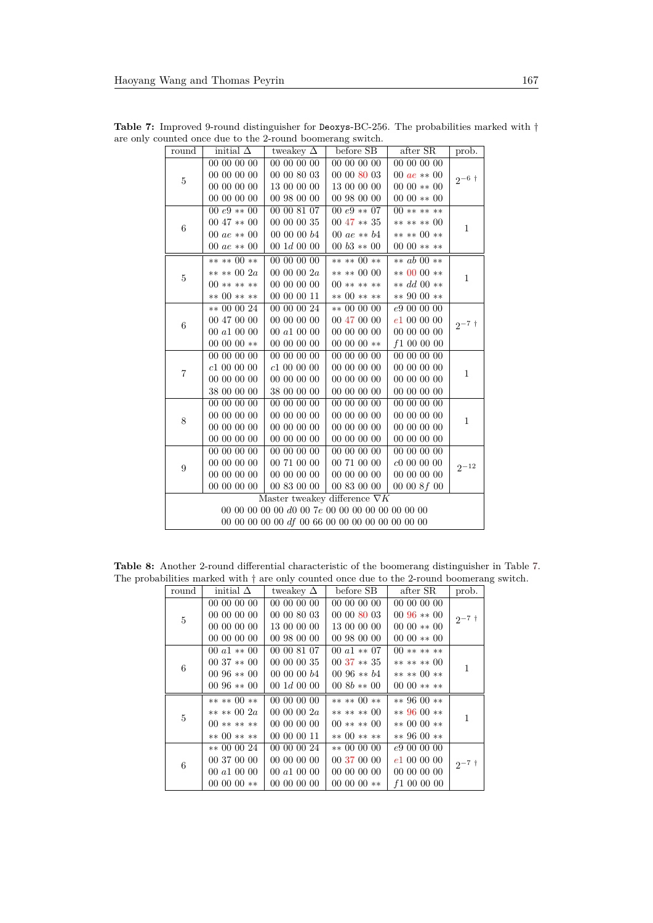| round                                              | initial $\Delta$                     | tweakey $\Delta$       | before SB            | after SR           | prob.        |  |  |
|----------------------------------------------------|--------------------------------------|------------------------|----------------------|--------------------|--------------|--|--|
|                                                    | $\overline{000000}00$                | 00 00 00 00            | 00 00 00 00          | 00 00 00 00        | $2^{-6}$ †   |  |  |
| $\overline{5}$                                     | 00 00 00 00                          | 00 00 80 03            | 00 00 80 03          | 00 $ae **00$       |              |  |  |
|                                                    | 00 00 00 00                          | 13 00 00 00            | 13 00 00 00          | $0000**00$         |              |  |  |
|                                                    | 00 00 00 00                          | 00 98 00 00            | 00 98 00 00          | $0000**00$         |              |  |  |
|                                                    | 00 $e9**00$                          | 00 00 81 07            | 00 $e9**07$          | $00******$         |              |  |  |
| 6                                                  | $0047**00$                           | 00 00 00 35            | $0047**35$           | ** ** ** 00        | 1            |  |  |
|                                                    | 00 $ae **00$                         | 00 00 00 $b4$          | 00 <i>ae</i> $** b4$ | ** ** 00 **        |              |  |  |
|                                                    | 00 $ae **00$                         | $00 \; 1d \; 00 \; 00$ | 00 $b3$ ** 00        | $0000****$         |              |  |  |
|                                                    | ** ** 00 **                          | 00 00 00 00            | ** ** 00 **          | ** <i>ab</i> 00 ** |              |  |  |
| $\overline{5}$                                     | ** ** 00 2a                          | 0000002a               | $*** 0000$           | $** 0000**$        | 1            |  |  |
|                                                    | $00******$                           | 00 00 00 00            | $00******$           | ** $dd\; 00$ **    |              |  |  |
|                                                    | ** 00 ** **                          | 00 00 00 11            | ** 00 ** **          | ** 90 00 **        |              |  |  |
|                                                    | ** 00 00 24                          | 00 00 00 24            | ** 00 00 00          | e9 00 00 00        | $2^{-7}$ t   |  |  |
| 6                                                  | 00 47 00 00                          | 00 00 00 00            | 00 47 00 00          | e1000000           |              |  |  |
|                                                    | 00 a1 00 00                          | 00 a1 00 00            | 00 00 00 00          | 00 00 00 00        |              |  |  |
|                                                    | $00000$ **                           | 00 00 00 00            | $00000$ **           | f1000000           |              |  |  |
|                                                    | 00 00 00 00                          | 00 00 00 00            | 00 00 00 00          | 00 00 00 00        |              |  |  |
| $\overline{7}$                                     | c1000000                             | c1000000               | 00 00 00 00          | 00 00 00 00        | 1            |  |  |
|                                                    | 00 00 00 00                          | 00 00 00 00            | 00 00 00 00          | 00 00 00 00        |              |  |  |
|                                                    | 38 00 00 00                          | 38 00 00 00            | 00 00 00 00          | 00 00 00 00        |              |  |  |
|                                                    | 00 00 00 00                          | 00 00 00 00            | 00 00 00 00          | 00 00 00 00        |              |  |  |
| 8                                                  | 00 00 00 00                          | 00 00 00 00            | 00 00 00 00          | 00 00 00 00        | $\mathbf{1}$ |  |  |
|                                                    | 00000000                             | 00 00 00 00            | 00 00 00 00          | 00 00 00 00        |              |  |  |
|                                                    | 00 00 00 00                          | 00 00 00 00            | 00 00 00 00          | 00 00 00 00        |              |  |  |
|                                                    | 00 00 00 00                          | 00 00 00 00            | 00 00 00 00          | 00 00 00 00        |              |  |  |
| 9                                                  | 00 00 00 00                          | 00 71 00 00            | 00 71 00 00          | c0000000           | $2^{-12}$    |  |  |
|                                                    | 00 00 00 00                          | 00 00 00 00            | 00 00 00 00          | 00 00 00 00        |              |  |  |
|                                                    | 00 00 00 00                          | 00 83 00 00            | 00 83 00 00          | 00008f00           |              |  |  |
|                                                    | Master tweakey difference $\nabla K$ |                        |                      |                    |              |  |  |
| 00 00 00 00 00 d0 00 7e 00 00 00 00 00 00 00 00 00 |                                      |                        |                      |                    |              |  |  |
| 00 00 00 00 00 df 00 66 00 00 00 00 00 00 00 00 00 |                                      |                        |                      |                    |              |  |  |

<span id="page-25-0"></span>Table 7: Improved 9-round distinguisher for Deoxys-BC-256. The probabilities marked with  $\dagger$ are only counted once due to the 2-round boomerang switch.

<span id="page-25-1"></span>**Table 8:** Another 2-round differential characteristic of the boomerang distinguisher in Table [7.](#page-25-0) The probabilities marked with  $\dagger$  are only counted once due to the 2-round boomerang switch.

| round                           | initial $\Delta$ | tweakey $\Delta$       | before SB     | after SR    | prob.      |
|---------------------------------|------------------|------------------------|---------------|-------------|------------|
|                                 | 00 00 00 00      | 00 00 00 00            | 00 00 00 00   | 00 00 00 00 |            |
| $\bf 5$                         | 00 00 00 00      | 00 00 80 03            | 00 00 80 03   | $0096**00$  | $2^{-7}$ † |
|                                 | 00 00 00 00      | 13 00 00 00            | 13 00 00 00   | $0000**00$  |            |
|                                 | 00 00 00 00      | 00 98 00 00            | 00 98 00 00   | $0000**00$  |            |
|                                 | 00 $a1$ ** 00    | 00 00 81 07            | 00 $a1$ ** 07 | $00******$  |            |
|                                 | $0037**00$       | 00 00 00 35            | $00.37**35$   | ** ** ** 00 | 1          |
|                                 | $0096**00$       | 000000b4               | 00 96 $** b4$ | ** ** 00 ** |            |
|                                 | $0096**00$       | $00 \; 1d \; 00 \; 00$ | $008b**00$    | 00 00 $***$ |            |
|                                 | ** ** 00 **      | 00 00 00 00            | ** ** 00 **   | $** 9600**$ |            |
|                                 | ** ** 00 $2a$    | 0000002a               | ** ** ** 00   | $** 9600**$ | 1          |
|                                 | $00******$       | 00 00 00 00            | $00****00$    | $** 0000**$ |            |
| $6\phantom{.}6$<br>$\bf 5$<br>6 | ** 00 ** **      | 00 00 00 11            | ** 00 ** **   | $** 9600**$ |            |
|                                 | $** 00 00 24$    | 00 00 00 24            | $** 00 00 00$ | e900000     |            |
|                                 | 00 37 00 00      | 00 00 00 00            | 00 37 00 00   | e1000000    | $2^{-7}$ † |
|                                 | 00 a1 00 00      | 00 a1 00 00            | 00 00 00 00   | 00 00 00 00 |            |
|                                 | $00000$ **       | 00 00 00 00            | $00000$ **    | f1000000    |            |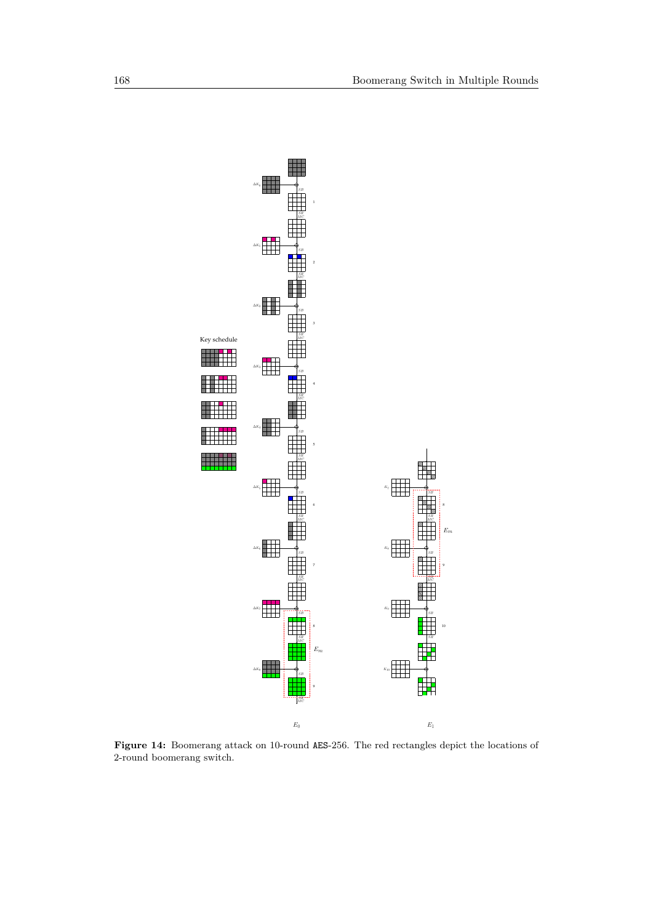<span id="page-26-0"></span>

**Figure 14:** Boomerang attack on 10-round AES-256. The red rectangles depict the locations of 2-round boomerang switch.